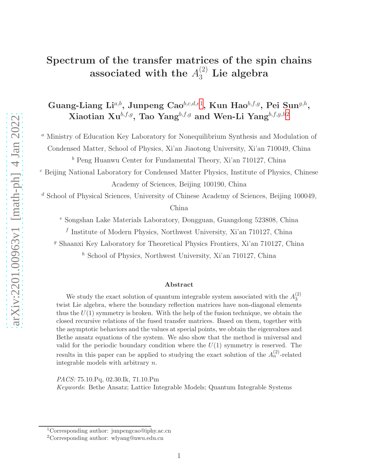# Spectrum of the transfer matrices of the spin chains associated with the  $A_3^{(2)}$  Lie algebra

Guang-Liang Li<sup>a,b</sup>, Junpeng Cao<sup>b,c,d,e[1](#page-0-0)</sup>, Kun Hao<sup>b,f,g</sup>, Pei Sun<sup>g,h</sup>, Xiaotian Xu<sup>b,f,g</sup>, Tao Yang<sup>b,f,g</sup> and Wen-Li Yang<sup>b,f,g,h[2](#page-0-1)</sup>

<sup>a</sup> Ministry of Education Key Laboratory for Nonequilibrium Synthesis and Modulation of

Condensed Matter, School of Physics, Xi'an Jiaotong University, Xi'an 710049, China

 $^b$  Peng Huanwu Center for Fundamental Theory, Xi'an 710127, China

<sup>c</sup> Beijing National Laboratory for Condensed Matter Physics, Institute of Physics, Chinese Academy of Sciences, Beijing 100190, China

<sup>d</sup> School of Physical Sciences, University of Chinese Academy of Sciences, Beijing 100049,

China

 $^e$  Songshan Lake Materials Laboratory, Dongguan, Guangdong 523808, China

f Institute of Modern Physics, Northwest University, Xi'an 710127, China

<sup>g</sup> Shaanxi Key Laboratory for Theoretical Physics Frontiers, Xi'an 710127, China

 $h$  School of Physics, Northwest University, Xi'an 710127, China

#### Abstract

We study the exact solution of quantum integrable system associated with the  $A_3^{(2)}$ 3 twist Lie algebra, where the boundary reflection matrices have non-diagonal elements thus the  $U(1)$  symmetry is broken. With the help of the fusion technique, we obtain the closed recursive relations of the fused transfer matrices. Based on them, together with the asymptotic behaviors and the values at special points, we obtain the eigenvalues and Bethe ansatz equations of the system. We also show that the method is universal and valid for the periodic boundary condition where the  $U(1)$  symmetry is reserved. The results in this paper can be applied to studying the exact solution of the  $A_n^{(2)}$ -related integrable models with arbitrary n.

PACS: 75.10.Pq, 02.30.Ik, 71.10.Pm

Keywords: Bethe Ansatz; Lattice Integrable Models; Quantum Integrable Systems

<sup>1</sup>Corresponding author: junpengcao@iphy.ac.cn

<span id="page-0-1"></span><span id="page-0-0"></span><sup>2</sup>Corresponding author: wlyang@nwu.edu.cn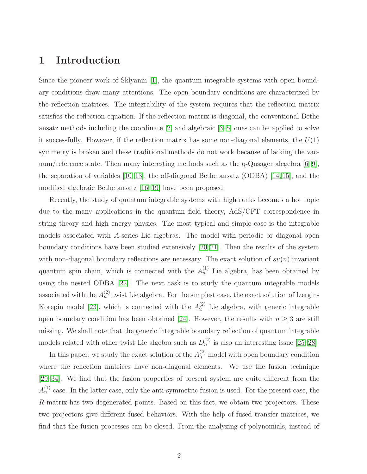## 1 Introduction

Since the pioneer work of Sklyanin [\[1\]](#page-21-0), the quantum integrable systems with open boundary conditions draw many attentions. The open boundary conditions are characterized by the reflection matrices. The integrability of the system requires that the reflection matrix satisfies the reflection equation. If the reflection matrix is diagonal, the conventional Bethe ansatz methods including the coordinate [\[2\]](#page-21-1) and algebraic [\[3](#page-21-2)[–5\]](#page-21-3) ones can be applied to solve it successfully. However, if the reflection matrix has some non-diagonal elements, the  $U(1)$ symmetry is broken and these traditional methods do not work because of lacking the vacuum/reference state. Then many interesting methods such as the q-Qnsager alegebra [\[6–](#page-21-4)[9\]](#page-21-5), the separation of variables [\[10](#page-21-6)[–13\]](#page-21-7), the off-diagonal Bethe ansatz (ODBA) [\[14,](#page-22-0) [15\]](#page-22-1), and the modified algebraic Bethe ansatz [\[16](#page-22-2)[–19\]](#page-22-3) have been proposed.

Recently, the study of quantum integrable systems with high ranks becomes a hot topic due to the many applications in the quantum field theory, AdS/CFT correspondence in string theory and high energy physics. The most typical and simple case is the integrable models associated with A-series Lie algebras. The model with periodic or diagonal open boundary conditions have been studied extensively [\[20,](#page-22-4) [21\]](#page-22-5). Then the results of the system with non-diagonal boundary reflections are necessary. The exact solution of  $su(n)$  invariant quantum spin chain, which is connected with the  $A_n^{(1)}$  Lie algebra, has been obtained by using the nested ODBA [\[22\]](#page-22-6). The next task is to study the quantum integrable models associated with the  $A_n^{(2)}$  twist Lie algebra. For the simplest case, the exact solution of Izergin-Korepin model [\[23\]](#page-22-7), which is connected with the  $A_2^{(2)}$  Lie algebra, with generic integrable open boundary condition has been obtained [\[24\]](#page-22-8). However, the results with  $n \geq 3$  are still missing. We shall note that the generic integrable boundary reflection of quantum integrable models related with other twist Lie algebra such as  $D_n^{(2)}$  is also an interesting issue [\[25](#page-22-9)[–28\]](#page-23-0).

In this paper, we study the exact solution of the  $A_3^{(2)}$  model with open boundary condition where the reflection matrices have non-diagonal elements. We use the fusion technique [\[29–](#page-23-1)[34\]](#page-23-2). We find that the fusion properties of present system are quite different from the  $A<sub>n</sub><sup>(1)</sup>$  case. In the latter case, only the anti-symmetric fusion is used. For the present case, the R-matrix has two degenerated points. Based on this fact, we obtain two projectors. These two projectors give different fused behaviors. With the help of fused transfer matrices, we find that the fusion processes can be closed. From the analyzing of polynomials, instead of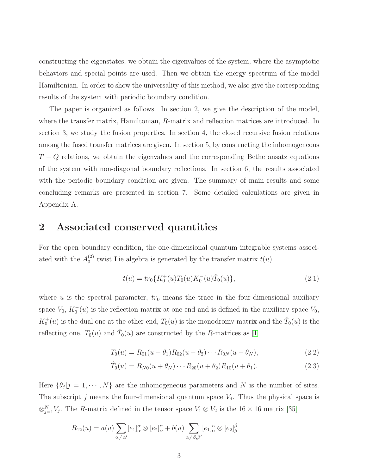constructing the eigenstates, we obtain the eigenvalues of the system, where the asymptotic behaviors and special points are used. Then we obtain the energy spectrum of the model Hamiltonian. In order to show the universality of this method, we also give the corresponding results of the system with periodic boundary condition.

The paper is organized as follows. In section 2, we give the description of the model, where the transfer matrix, Hamiltonian, R-matrix and reflection matrices are introduced. In section 3, we study the fusion properties. In section 4, the closed recursive fusion relations among the fused transfer matrices are given. In section 5, by constructing the inhomogeneous  $T - Q$  relations, we obtain the eigenvalues and the corresponding Bethe ansatz equations of the system with non-diagonal boundary reflections. In section 6, the results associated with the periodic boundary condition are given. The summary of main results and some concluding remarks are presented in section 7. Some detailed calculations are given in Appendix A.

# 2 Associated conserved quantities

For the open boundary condition, the one-dimensional quantum integrable systems associated with the  $A_3^{(2)}$  $t_3^{(2)}$  twist Lie algebra is generated by the transfer matrix  $t(u)$ 

<span id="page-2-1"></span>
$$
t(u) = tr_0\{K_0^+(u)T_0(u)K_0^-(u)\hat{T}_0(u)\},\tag{2.1}
$$

where  $u$  is the spectral parameter,  $tr_0$  means the trace in the four-dimensional auxiliary space  $V_0$ ,  $K_0^-(u)$  is the reflection matrix at one end and is defined in the auxiliary space  $V_0$ ,  $K_0^+(u)$  is the dual one at the other end,  $T_0(u)$  is the monodromy matrix and the  $\hat{T}_0(u)$  is the reflecting one.  $T_0(u)$  and  $\hat{T}_0(u)$  are constructed by the R-matrices as [\[1\]](#page-21-0)

<span id="page-2-2"></span>
$$
T_0(u) = R_{01}(u - \theta_1)R_{02}(u - \theta_2) \cdots R_{0N}(u - \theta_N),
$$
\n(2.2)

$$
\hat{T}_0(u) = R_{N0}(u + \theta_N) \cdots R_{20}(u + \theta_2) R_{10}(u + \theta_1).
$$
\n(2.3)

Here  $\{\theta_j | j = 1, \dots, N\}$  are the inhomogeneous parameters and N is the number of sites. The subscript j means the four-dimensional quantum space  $V_j$ . Thus the physical space is  $\otimes_{j=1}^{N} V_j$ . The R-matrix defined in the tensor space  $V_1 \otimes V_2$  is the 16 × 16 matrix [\[35\]](#page-23-3)

<span id="page-2-0"></span>
$$
R_{12}(u) = a(u) \sum_{\alpha \neq \alpha'} [e_1]_{\alpha}^{\alpha} \otimes [e_2]_{\alpha}^{\alpha} + b(u) \sum_{\alpha \neq \beta, \beta'} [e_1]_{\alpha}^{\alpha} \otimes [e_2]_{\beta}^{\beta}
$$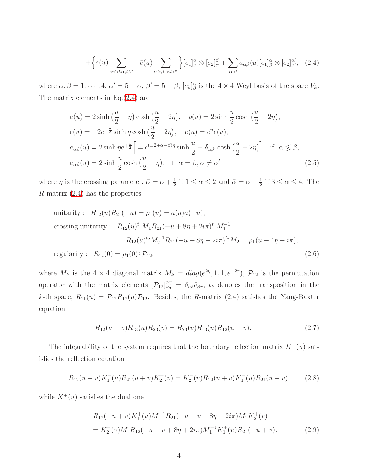$$
+\Big\{e(u)\sum_{\alpha<\beta,\alpha\neq\beta'}+\bar{e}(u)\sum_{\alpha>\beta,\alpha\neq\beta'}\Big\}[e_{1}]^{\alpha}_{\beta}\otimes[e_{2}]^{\beta}_{\alpha}+\sum_{\alpha,\beta}a_{\alpha\beta}(u)[e_{1}]^{\alpha}_{\beta}\otimes[e_{2}]^{\alpha'}_{\beta'},\quad(2.4)
$$

where  $\alpha, \beta = 1, \dots, 4, \alpha' = 5 - \alpha, \beta' = 5 - \beta, [e_k]_{\beta}^{\alpha}$  is the  $4 \times 4$  Weyl basis of the space  $V_k$ . The matrix elements in Eq.[\(2.4\)](#page-2-0) are

$$
a(u) = 2\sinh\left(\frac{u}{2} - \eta\right)\cosh\left(\frac{u}{2} - 2\eta\right), \quad b(u) = 2\sinh\frac{u}{2}\cosh\left(\frac{u}{2} - 2\eta\right),
$$
  
\n
$$
e(u) = -2e^{-\frac{u}{2}}\sinh\eta\cosh\left(\frac{u}{2} - 2\eta\right), \quad \bar{e}(u) = e^u e(u),
$$
  
\n
$$
a_{\alpha\beta}(u) = 2\sinh\eta e^{\mp\frac{u}{2}} \Big[ \mp e^{(\pm 2 + \bar{\alpha} - \bar{\beta})\eta}\sinh\frac{u}{2} - \delta_{\alpha\beta'}\cosh\left(\frac{u}{2} - 2\eta\right) \Big], \text{ if } \alpha \leq \beta,
$$
  
\n
$$
a_{\alpha\beta}(u) = 2\sinh\frac{u}{2}\cosh\left(\frac{u}{2} - \eta\right), \text{ if } \alpha = \beta, \alpha \neq \alpha', \tag{2.5}
$$

where  $\eta$  is the crossing parameter,  $\bar{\alpha} = \alpha + \frac{1}{2}$  $\frac{1}{2}$  if  $1 \le \alpha \le 2$  and  $\bar{\alpha} = \alpha - \frac{1}{2}$  $\frac{1}{2}$  if  $3 \leq \alpha \leq 4$ . The  $R$ -matrix  $(2.4)$  has the properties

unitarity: 
$$
R_{12}(u)R_{21}(-u) = \rho_1(u) = a(u)a(-u),
$$
  
\ncrossing unitarity:  $R_{12}(u)^{t_1}M_1R_{21}(-u+8\eta+2i\pi)^{t_1}M_1^{-1}$   
\n
$$
= R_{12}(u)^{t_2}M_2^{-1}R_{21}(-u+8\eta+2i\pi)^{t_2}M_2 = \rho_1(u-4\eta-i\pi),
$$
\nregularity:  $R_{12}(0) = \rho_1(0)^{\frac{1}{2}}\mathcal{P}_{12},$  (2.6)

where  $M_k$  is the 4 × 4 diagonal matrix  $M_k = diag(e^{2\eta}, 1, 1, e^{-2\eta}), \mathcal{P}_{12}$  is the permutation operator with the matrix elements  $[\mathcal{P}_{12}]_{\beta\delta}^{\alpha\gamma} = \delta_{\alpha\delta}\delta_{\beta\gamma}$ ,  $t_k$  denotes the transposition in the k-th space,  $R_{21}(u) = \mathcal{P}_{12}R_{12}(u)\mathcal{P}_{12}$ . Besides, the R-matrix [\(2.4\)](#page-2-0) satisfies the Yang-Baxter equation

<span id="page-3-2"></span>
$$
R_{12}(u-v)R_{13}(u)R_{23}(v) = R_{23}(v)R_{13}(u)R_{12}(u-v).
$$
\n(2.7)

The integrability of the system requires that the boundary reflection matrix  $K^-(u)$  satisfies the reflection equation

<span id="page-3-0"></span>
$$
R_{12}(u-v)K_1^-(u)R_{21}(u+v)K_2^-(v) = K_2^-(v)R_{12}(u+v)K_1^-(u)R_{21}(u-v), \qquad (2.8)
$$

while  $K^+(u)$  satisfies the dual one

<span id="page-3-1"></span>
$$
R_{12}(-u+v)K_1^+(u)M_1^{-1}R_{21}(-u-v+8\eta+2i\pi)M_1K_2^+(v)
$$
  
=  $K_2^+(v)M_1R_{12}(-u-v+8\eta+2i\pi)M_1^{-1}K_1^+(u)R_{21}(-u+v).$  (2.9)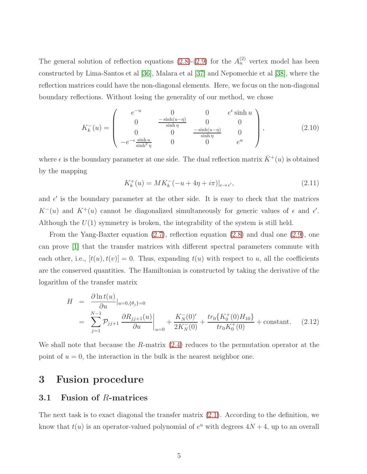The general solution of reflection equations  $(2.8)-(2.9)$  $(2.8)-(2.9)$  for the  $A_n^{(2)}$  vertex model has been constructed by Lima-Santos et al [\[36\]](#page-23-4), Malara et al [\[37\]](#page-23-5) and Nepomechie et al [\[38\]](#page-23-6), where the reflection matrices could have the non-diagonal elements. Here, we focus on the non-diagonal boundary reflections. Without losing the generality of our method, we chose

<span id="page-4-0"></span>
$$
K_{k}^{-}(u) = \begin{pmatrix} e^{-u} & 0 & 0 & e^{\epsilon} \sinh u \\ 0 & \frac{-\sinh(u-\eta)}{\sinh \eta} & 0 & 0 \\ 0 & 0 & \frac{-\sinh(u-\eta)}{\sinh \eta} & 0 \\ -e^{-\epsilon} \frac{\sinh u}{\sinh^{2} \eta} & 0 & 0 & e^{u} \end{pmatrix},
$$
(2.10)

where  $\epsilon$  is the boundary parameter at one side. The dual reflection matrix  $\bar{K}^+(u)$  is obtained by the mapping

<span id="page-4-1"></span>
$$
K_k^+(u) = MK_k^-(-u + 4\eta + i\pi)|_{\epsilon \to \epsilon'}, \tag{2.11}
$$

and  $\epsilon'$  is the boundary parameter at the other side. It is easy to check that the matrices  $K^-(u)$  and  $K^+(u)$  cannot be diagonalized simultaneously for generic values of  $\epsilon$  and  $\epsilon'$ . Although the  $U(1)$  symmetry is broken, the integrability of the system is still held.

From the Yang-Baxter equation [\(2.7\)](#page-3-2), reflection equation [\(2.8\)](#page-3-0) and dual one [\(2.9\)](#page-3-1), one can prove [\[1\]](#page-21-0) that the transfer matrices with different spectral parameters commute with each other, i.e.,  $[t(u), t(v)] = 0$ . Thus, expanding  $t(u)$  with respect to u, all the coefficients are the conserved quantities. The Hamiltonian is constructed by taking the derivative of the logarithm of the transfer matrix

<span id="page-4-2"></span>
$$
H = \frac{\partial \ln t(u)}{\partial u}|_{u=0,\{\theta_j\}=0}
$$
  
= 
$$
\sum_{j=1}^{N-1} \mathcal{P}_{jj+1} \frac{\partial R_{jj+1}(u)}{\partial u}\bigg|_{u=0} + \frac{K_N^-(0)'}{2K_N^-(0)} + \frac{tr_0\{K_0^+(0)H_{10}\}}{tr_0K_0^+(0)} + \text{constant.}
$$
 (2.12)

We shall note that because the R-matrix  $(2.4)$  reduces to the permutation operator at the point of  $u = 0$ , the interaction in the bulk is the nearest neighbor one.

# 3 Fusion procedure

#### 3.1 Fusion of R-matrices

The next task is to exact diagonal the transfer matrix [\(2.1\)](#page-2-1). According to the definition, we know that  $t(u)$  is an operator-valued polynomial of  $e^u$  with degrees  $4N+4$ , up to an overall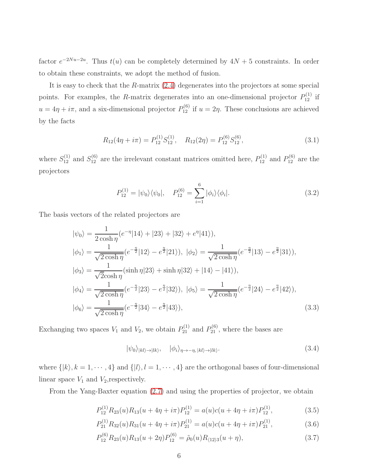factor  $e^{-2Nu-2u}$ . Thus  $t(u)$  can be completely determined by  $4N+5$  constraints. In order to obtain these constraints, we adopt the method of fusion.

It is easy to check that the R-matrix [\(2.4\)](#page-2-0) degenerates into the projectors at some special points. For examples, the R-matrix degenerates into an one-dimensional projector  $P_{12}^{(1)}$  if  $u = 4\eta + i\pi$ , and a six-dimensional projector  $P_{12}^{(6)}$  if  $u = 2\eta$ . These conclusions are achieved by the facts

$$
R_{12}(4\eta + i\pi) = P_{12}^{(1)} S_{12}^{(1)}, \quad R_{12}(2\eta) = P_{12}^{(6)} S_{12}^{(6)}, \tag{3.1}
$$

where  $S_{12}^{(1)}$  and  $S_{12}^{(6)}$  are the irrelevant constant matrices omitted here,  $P_{12}^{(1)}$  and  $P_{12}^{(6)}$  are the projectors

$$
P_{12}^{(1)} = |\psi_0\rangle\langle\psi_0|, \quad P_{12}^{(6)} = \sum_{i=1}^{6} |\phi_i\rangle\langle\phi_i|.
$$
 (3.2)

The basis vectors of the related projectors are

$$
|\psi_0\rangle = \frac{1}{2\cosh\eta} (e^{-\eta}|14\rangle + |23\rangle + |32\rangle + e^{\eta}|41\rangle),
$$
  
\n
$$
|\phi_1\rangle = \frac{1}{\sqrt{2\cosh\eta}} (e^{-\frac{\eta}{2}}|12\rangle - e^{\frac{\eta}{2}}|21\rangle), |\phi_2\rangle = \frac{1}{\sqrt{2\cosh\eta}} (e^{-\frac{\eta}{2}}|13\rangle - e^{\frac{\eta}{2}}|31\rangle),
$$
  
\n
$$
|\phi_3\rangle = \frac{1}{\sqrt{2\cosh\eta}} (\sinh\eta|23\rangle + \sinh\eta|32\rangle + |14\rangle - |41\rangle),
$$
  
\n
$$
|\phi_4\rangle = \frac{1}{\sqrt{2\cosh\eta}} (e^{-\frac{\eta}{2}}|23\rangle - e^{\frac{\eta}{2}}|32\rangle), |\phi_5\rangle = \frac{1}{\sqrt{2\cosh\eta}} (e^{-\frac{\eta}{2}}|24\rangle - e^{\frac{\eta}{2}}|42\rangle),
$$
  
\n
$$
|\phi_6\rangle = \frac{1}{\sqrt{2\cosh\eta}} (e^{-\frac{\eta}{2}}|34\rangle - e^{\frac{\eta}{2}}|43\rangle),
$$
\n(3.3)

Exchanging two spaces  $V_1$  and  $V_2$ , we obtain  $P_{21}^{(1)}$  and  $P_{21}^{(6)}$ , where the bases are

$$
|\psi_0\rangle_{|kl\rangle \to |lk\rangle}, \quad |\phi_i\rangle_{\eta \to -\eta, |kl\rangle \to |lk\rangle}.
$$
\n(3.4)

where  $\{|k\rangle, k = 1, \dots, 4\}$  and  $\{|l\rangle, l = 1, \dots, 4\}$  are the orthogonal bases of four-dimensional linear space  $V_1$  and  $V_2$ , respectively.

From the Yang-Baxter equation [\(2.7\)](#page-3-2) and using the properties of projector, we obtain

<span id="page-5-0"></span>
$$
P_{12}^{(1)}R_{23}(u)R_{13}(u+4\eta+i\pi)P_{12}^{(1)} = a(u)c(u+4\eta+i\pi)P_{12}^{(1)},
$$
\n(3.5)

$$
P_{21}^{(1)}R_{32}(u)R_{31}(u+4\eta+i\pi)P_{21}^{(1)} = a(u)c(u+4\eta+i\pi)P_{21}^{(1)},
$$
\n(3.6)

$$
P_{12}^{(6)}R_{23}(u)R_{13}(u+2\eta)P_{12}^{(6)} = \tilde{\rho}_0(u)R_{\langle 12\rangle 3}(u+\eta), \qquad (3.7)
$$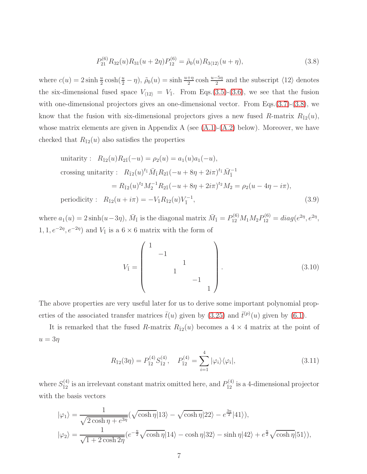$$
P_{21}^{(6)}R_{32}(u)R_{31}(u+2\eta)P_{12}^{(6)} = \tilde{\rho}_0(u)R_{3\langle 12\rangle}(u+\eta),\tag{3.8}
$$

where  $c(u) = 2 \sinh \frac{u}{2} \cosh(\frac{u}{2} - \eta)$ ,  $\tilde{\rho}_0(u) = \sinh \frac{u + \eta}{2} \cosh \frac{u - 5\eta}{2}$  and the subscript  $\langle 12 \rangle$  denotes the six-dimensional fused space  $V_{\langle 12 \rangle} = V_{\bar{1}}$ . From Eqs.[\(3.5\)](#page-5-0)-[\(3.6\)](#page-5-0), we see that the fusion with one-dimensional projectors gives an one-dimensional vector. From Eqs.[\(3.7\)](#page-5-0)-[\(3.8\)](#page-5-0), we know that the fusion with six-dimensional projectors gives a new fused R-matrix  $R_{\bar{1}2}(u)$ , whose matrix elements are given in Appendix A (see  $(A.1)-(A.2)$  $(A.1)-(A.2)$  below). Moreover, we have checked that  $R_{\bar{1}2}(u)$  also satisfies the properties

<span id="page-6-0"></span>unitarity: 
$$
R_{\bar{1}2}(u)R_{2\bar{1}}(-u) = \rho_2(u) = a_1(u)a_1(-u),
$$
  
\ncrossing unitarity:  $R_{\bar{1}2}(u)^{t_{\bar{1}}} \bar{M}_{\bar{1}} R_{2\bar{1}}(-u + 8\eta + 2i\pi)^{t_{\bar{1}}} \bar{M}_{\bar{1}}^{-1}$   
\n
$$
= R_{\bar{1}2}(u)^{t_2} M_2^{-1} R_{2\bar{1}}(-u + 8\eta + 2i\pi)^{t_2} M_2 = \rho_2(u - 4\eta - i\pi),
$$
\nperiodicity:  $R_{\bar{1}2}(u + i\pi) = -V_{\bar{1}} R_{\bar{1}2}(u) V_{\bar{1}}^{-1},$ \n(3.9)

where  $a_1(u) = 2 \sinh(u - 3\eta)$ ,  $\bar{M}_{\bar{1}}$  is the diagonal matrix  $\bar{M}_{\bar{1}} = P_{12}^{(6)} M_1 M_2 P_{12}^{(6)} = diag(e^{2\eta}, e^{2\eta}, e^{2\eta})$  $1, 1, e^{-2\eta}, e^{-2\eta}$  and  $V_{\bar{1}}$  is a  $6 \times 6$  matrix with the form of

$$
V_{\bar{1}} = \begin{pmatrix} 1 & & & & \\ & -1 & & & \\ & & 1 & & \\ & & & -1 & \\ & & & & 1 \end{pmatrix} . \tag{3.10}
$$

The above properties are very useful later for us to derive some important polynomial properties of the associated transfer matrices  $\bar{t}(u)$  given by [\(3.25\)](#page-8-0) and  $\bar{t}^{(p)}(u)$  given by [\(6.1\)](#page-17-0).

It is remarked that the fused R-matrix  $R_{\bar{1}2}(u)$  becomes a  $4 \times 4$  matrix at the point of  $u=3\eta$ 

$$
R_{\bar{1}2}(3\eta) = P_{\bar{1}2}^{(4)} S_{\bar{1}2}^{(4)}, \quad P_{\bar{1}2}^{(4)} = \sum_{i=1}^{4} |\varphi_i\rangle\langle\varphi_i|,\tag{3.11}
$$

where  $S_{\bar{1}2}^{(4)}$  is an irrelevant constant matrix omitted here, and  $P_{\bar{1}2}^{(4)}$  is a 4-dimensional projector with the basis vectors

$$
|\varphi_1\rangle = \frac{1}{\sqrt{2\cosh\eta + e^{3\eta}}} (\sqrt{\cosh\eta} |13\rangle - \sqrt{\cosh\eta} |22\rangle - e^{\frac{3\eta}{2}} |41\rangle),
$$
  

$$
|\varphi_2\rangle = \frac{1}{\sqrt{1 + 2\cosh 2\eta}} (e^{-\frac{\eta}{2}} \sqrt{\cosh\eta} |14\rangle - \cosh\eta |32\rangle - \sinh\eta |42\rangle + e^{\frac{\eta}{2}} \sqrt{\cosh\eta} |51\rangle),
$$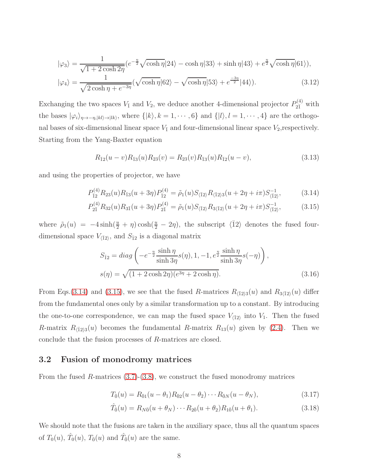$$
|\varphi_3\rangle = \frac{1}{\sqrt{1 + 2\cosh 2\eta}} \left(e^{-\frac{\eta}{2}} \sqrt{\cosh \eta} |24\rangle - \cosh \eta |33\rangle + \sinh \eta |43\rangle + e^{\frac{\eta}{2}} \sqrt{\cosh \eta} |61\rangle\right),
$$
  

$$
|\varphi_4\rangle = \frac{1}{\sqrt{2\cosh \eta + e^{-3\eta}}} \left(\sqrt{\cosh \eta} |62\rangle - \sqrt{\cosh \eta} |53\rangle + e^{\frac{-3\eta}{2}} |44\rangle\right).
$$
 (3.12)

Exchanging the two spaces  $V_{\bar{1}}$  and  $V_2$ , we deduce another 4-dimensional projector  $P_{2\bar{1}}^{(4)}$  with the bases  $|\varphi_i\rangle_{\eta\to-\eta,|kl\rangle\to|lk\rangle}$ , where  $\{|k\rangle, k=1,\cdots,6\}$  and  $\{|l\rangle, l=1,\cdots,4\}$  are the orthogonal bases of six-dimensional linear space  $V_1$  and four-dimensional linear space  $V_2$ , respectively. Starting from the Yang-Baxter equation

<span id="page-7-1"></span>
$$
R_{\bar{1}2}(u-v)R_{\bar{1}3}(u)R_{23}(v) = R_{23}(v)R_{\bar{1}3}(u)R_{\bar{1}2}(u-v),
$$
\n(3.13)

and using the properties of projector, we have

<span id="page-7-0"></span>
$$
P_{\bar{1}2}^{(4)}R_{23}(u)R_{\bar{1}3}(u+3\eta)P_{\bar{1}2}^{(4)} = \tilde{\rho}_1(u)S_{\langle \bar{1}2 \rangle}R_{\langle \bar{1}2 \rangle 3}(u+2\eta+i\pi)S_{\langle \bar{1}2 \rangle}^{-1},\tag{3.14}
$$

$$
P_{2\bar{1}}^{(4)}R_{32}(u)R_{3\bar{1}}(u+3\eta)P_{2\bar{1}}^{(4)} = \tilde{\rho}_1(u)S_{\langle \bar{1}2 \rangle}R_{3\langle \bar{1}2 \rangle}(u+2\eta+i\pi)S_{\langle \bar{1}2 \rangle}^{-1},\tag{3.15}
$$

where  $\tilde{\rho}_1(u) = -4 \sinh(\frac{u}{2} + \eta) \cosh(\frac{u}{2} - 2\eta)$ , the subscript  $\langle \overline{1}2 \rangle$  denotes the fused fourdimensional space  $V_{\langle \bar{1}2 \rangle}$ , and  $S_{\bar{1}2}$  is a diagonal matrix

$$
S_{\bar{1}2} = diag\left(-e^{-\frac{\eta}{2}}\frac{\sinh\eta}{\sinh 3\eta}s(\eta), 1, -1, e^{\frac{\eta}{2}}\frac{\sinh\eta}{\sinh 3\eta}s(-\eta)\right),
$$
  

$$
s(\eta) = \sqrt{(1 + 2\cosh 2\eta)(e^{3\eta} + 2\cosh \eta)}.
$$
 (3.16)

From Eqs.[\(3.14\)](#page-7-0) and [\(3.15\)](#page-7-0), we see that the fused R-matrices  $R_{\overline{12}3}(u)$  and  $R_{3\overline{12}}(u)$  differ from the fundamental ones only by a similar transformation up to a constant. By introducing the one-to-one correspondence, we can map the fused space  $V_{\langle \bar{1}2 \rangle}$  into  $V_1$ . Then the fused R-matrix  $R_{(\bar{1}2)3}(u)$  becomes the fundamental R-matrix  $R_{13}(u)$  given by [\(2.4\)](#page-2-0). Then we conclude that the fusion processes of R-matrices are closed.

### 3.2 Fusion of monodromy matrices

From the fused R-matrices  $(3.7)-(3.8)$  $(3.7)-(3.8)$ , we construct the fused monodromy matrices

<span id="page-7-2"></span>
$$
T_{\bar{0}}(u) = R_{\bar{0}1}(u - \theta_1)R_{\bar{0}2}(u - \theta_2) \cdots R_{\bar{0}N}(u - \theta_N),
$$
\n(3.17)

$$
\hat{T}_0(u) = R_{N0}(u + \theta_N) \cdots R_{20}(u + \theta_2) R_{10}(u + \theta_1).
$$
\n(3.18)

We should note that the fusions are taken in the auxiliary space, thus all the quantum spaces of  $T_0(u)$ ,  $\hat{T}_0(u)$ ,  $T_{\bar{0}}(u)$  and  $\hat{T}_{\bar{0}}(u)$  are the same.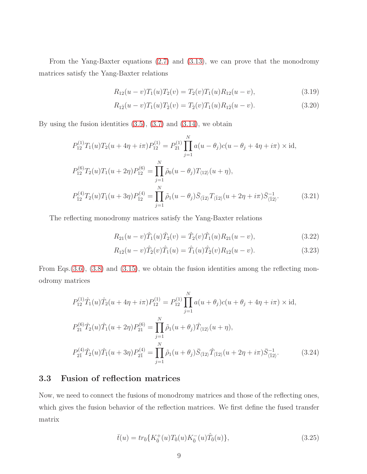From the Yang-Baxter equations [\(2.7\)](#page-3-2) and [\(3.13\)](#page-7-1), we can prove that the monodromy matrices satisfy the Yang-Baxter relations

<span id="page-8-1"></span>
$$
R_{12}(u-v)T_1(u)T_2(v) = T_2(v)T_1(u)R_{12}(u-v),
$$
\n(3.19)

$$
R_{1\bar{2}}(u-v)T_1(u)T_{\bar{2}}(v) = T_{\bar{2}}(v)T_1(u)R_{1\bar{2}}(u-v).
$$
\n(3.20)

By using the fusion identities  $(3.5)$ ,  $(3.7)$  and  $(3.14)$ , we obtain

<span id="page-8-3"></span>
$$
P_{12}^{(1)}T_1(u)T_2(u+4\eta+i\pi)P_{12}^{(1)} = P_{21}^{(1)}\prod_{j=1}^N a(u-\theta_j)c(u-\theta_j+4\eta+i\pi) \times \text{id},
$$
  
\n
$$
P_{12}^{(6)}T_2(u)T_1(u+2\eta)P_{12}^{(6)} = \prod_{j=1}^N \tilde{\rho}_0(u-\theta_j)T_{\langle 12\rangle}(u+\eta),
$$
  
\n
$$
P_{\bar{1}2}^{(4)}T_2(u)T_{\bar{1}}(u+3\eta)P_{\bar{1}2}^{(4)} = \prod_{j=1}^N \tilde{\rho}_1(u-\theta_j)\bar{S}_{\langle \bar{1}2\rangle}T_{\langle \bar{1}2\rangle}(u+2\eta+i\pi)\bar{S}_{\langle \bar{1}2\rangle}^{-1}.
$$
\n(3.21)

The reflecting monodromy matrices satisfy the Yang-Baxter relations

<span id="page-8-2"></span>
$$
R_{21}(u-v)\hat{T}_1(u)\hat{T}_2(v) = \hat{T}_2(v)\hat{T}_1(u)R_{21}(u-v),
$$
\n(3.22)

$$
R_{1\bar{2}}(u-v)\hat{T}_{\bar{2}}(v)\hat{T}_{1}(u) = \hat{T}_{1}(u)\hat{T}_{\bar{2}}(v)R_{1\bar{2}}(u-v).
$$
\n(3.23)

From Eqs.[\(3.6\)](#page-5-0), [\(3.8\)](#page-5-0) and [\(3.15\)](#page-7-0), we obtain the fusion identities among the reflecting monodromy matrices

<span id="page-8-4"></span>
$$
P_{12}^{(1)}\hat{T}_1(u)\hat{T}_2(u+4\eta+i\pi)P_{12}^{(1)} = P_{12}^{(1)}\prod_{j=1}^N a(u+\theta_j)c(u+\theta_j+4\eta+i\pi) \times \text{id},
$$
  
\n
$$
P_{21}^{(6)}\hat{T}_2(u)\hat{T}_1(u+2\eta)P_{21}^{(6)} = \prod_{j=1}^N \tilde{\rho}_1(u+\theta_j)\hat{T}_{\langle 12\rangle}(u+\eta),
$$
  
\n
$$
P_{2\bar{1}}^{(4)}\hat{T}_2(u)\hat{T}_{\bar{1}}(u+3\eta)P_{2\bar{1}}^{(4)} = \prod_{j=1}^N \tilde{\rho}_1(u+\theta_j)\bar{S}_{\langle \bar{1}2\rangle}\hat{T}_{\langle 12\rangle}(u+2\eta+i\pi)\bar{S}_{\langle \bar{1}2\rangle}^{-1}.
$$
\n(3.24)

### 3.3 Fusion of reflection matrices

Now, we need to connect the fusions of monodromy matrices and those of the reflecting ones, which gives the fusion behavior of the reflection matrices. We first define the fused transfer matrix

<span id="page-8-0"></span>
$$
\bar{t}(u) = tr_{\bar{0}}\{K_{\bar{0}}^{+}(u)T_{\bar{0}}(u)K_{\bar{0}}^{-}(u)\hat{T}_{\bar{0}}(u)\},\tag{3.25}
$$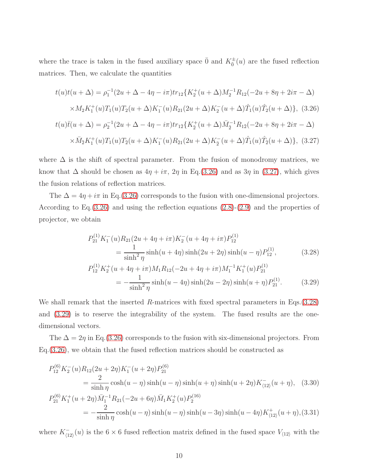where the trace is taken in the fused auxiliary space  $\bar{0}$  and  $K^{\pm}_{\bar{0}}(u)$  are the fused reflection matrices. Then, we calculate the quantities

<span id="page-9-0"></span>
$$
t(u)t(u + \Delta) = \rho_1^{-1}(2u + \Delta - 4\eta - i\pi)tr_{12}\{K_2^+(u + \Delta)M_2^{-1}R_{12}(-2u + 8\eta + 2i\pi - \Delta) \times M_2K_1^+(u)T_1(u)T_2(u + \Delta)K_1^-(u)R_{21}(2u + \Delta)K_2^-(u + \Delta)\hat{T}_1(u)\hat{T}_2(u + \Delta)\}, (3.26)
$$
  

$$
t(u)\bar{t}(u + \Delta) = \rho_2^{-1}(2u + \Delta - 4\eta - i\pi)tr_{12}\{K_2^+(u + \Delta)\bar{M}_2^{-1}R_{12}(-2u + 8\eta + 2i\pi - \Delta) \times \bar{M}_2K_1^+(u)T_1(u)T_2(u + \Delta)K_1^-(u)R_{21}(2u + \Delta)K_2^-(u + \Delta)\hat{T}_1(u)\hat{T}_2(u + \Delta)\}, (3.27)
$$

where  $\Delta$  is the shift of spectral parameter. From the fusion of monodromy matrices, we know that  $\Delta$  should be chosen as  $4\eta + i\pi$ ,  $2\eta$  in Eq.[\(3.26\)](#page-9-0) and as  $3\eta$  in [\(3.27\)](#page-9-0), which gives the fusion relations of reflection matrices.

The  $\Delta = 4\eta + i\pi$  in Eq.[\(3.26\)](#page-9-0) corresponds to the fusion with one-dimensional projectors. According to Eq.[\(3.26\)](#page-9-0) and using the reflection equations [\(2.8\)](#page-3-0)-[\(2.9\)](#page-3-1) and the properties of projector, we obtain

<span id="page-9-1"></span>
$$
P_{21}^{(1)} K_1^{-}(u) R_{21} (2u + 4\eta + i\pi) K_2^{-}(u + 4\eta + i\pi) P_{12}^{(1)}
$$
  
\n
$$
= \frac{1}{\sinh^2 \eta} \sinh(u + 4\eta) \sinh(2u + 2\eta) \sinh(u - \eta) P_{12}^{(1)},
$$
(3.28)  
\n
$$
P_{12}^{(1)} K_2^{+}(u + 4\eta + i\pi) M_1 R_{12} (-2u + 4\eta + i\pi) M_1^{-1} K_1^{+}(u) P_{21}^{(1)}
$$
  
\n
$$
= -\frac{1}{\sinh^2 \eta} \sinh(u - 4\eta) \sinh(2u - 2\eta) \sinh(u + \eta) P_{21}^{(1)}.
$$
(3.29)

We shall remark that the inserted R-matrices with fixed spectral parameters in Eqs.[\(3.28\)](#page-9-1) and [\(3.29\)](#page-9-1) is to reserve the integrability of the system. The fused results are the onedimensional vectors.

The  $\Delta = 2\eta$  in Eq.[\(3.26\)](#page-9-0) corresponds to the fusion with six-dimensional projectors. From Eq.[\(3.26\)](#page-9-0), we obtain that the fused reflection matrices should be constructed as

<span id="page-9-2"></span>
$$
P_{12}^{(6)} K_2^-(u) R_{12} (2u + 2\eta) K_1^-(u + 2\eta) P_{21}^{(6)}
$$
  
= 
$$
\frac{2}{\sinh \eta} \cosh(u - \eta) \sinh(u - \eta) \sinh(u + \eta) \sinh(u + 2\eta) K_{(12)}^-(u + \eta),
$$
 (3.30)  

$$
P_{21}^{(6)} K_1^+(u + 2\eta) \bar{M}_1^{-1} R_{21} (-2u + 6\eta) \bar{M}_1 K_2^+(u) P_2^{(16)}
$$
  
= 
$$
-\frac{2}{\sinh \eta} \cosh(u - \eta) \sinh(u - 3\eta) \sinh(u - 4\eta) K_{(12)}^+(u + \eta),
$$
 (3.31)

where  $K_{\ell_1}^ \overline{\langle 12 \rangle}(u)$  is the 6 × 6 fused reflection matrix defined in the fused space  $V_{\langle 12 \rangle}$  with the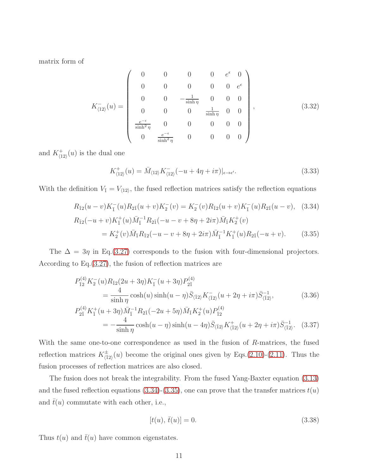matrix form of

<span id="page-10-1"></span>
$$
K_{\langle 12 \rangle}^{-}(u) = \begin{pmatrix} 0 & 0 & 0 & 0 & e^{\epsilon} & 0 \\ 0 & 0 & 0 & 0 & 0 & e^{\epsilon} \\ 0 & 0 & -\frac{1}{\sinh \eta} & 0 & 0 & 0 \\ 0 & 0 & 0 & \frac{1}{\sinh \eta} & 0 & 0 \\ \frac{e^{-\epsilon}}{\sinh^{2} \eta} & 0 & 0 & 0 & 0 \\ 0 & \frac{e^{-\epsilon}}{\sinh^{2} \eta} & 0 & 0 & 0 & 0 \end{pmatrix}, \qquad (3.32)
$$

and  $K^+_{\langle 12 \rangle}(u)$  is the dual one

$$
K_{\langle 12 \rangle}^+(u) = \bar{M}_{\langle 12 \rangle} K_{\langle 12 \rangle}^-(-u + 4\eta + i\pi)|_{\epsilon \to \epsilon'}.
$$
\n(3.33)

With the definition  $V_{\bar{1}} = V_{\langle 12 \rangle}$ , the fused reflection matrices satisfy the reflection equations

<span id="page-10-0"></span>
$$
R_{\bar{1}2}(u-v)K_{\bar{1}}^{-}(u)R_{2\bar{1}}(u+v)K_{2}^{-}(v) = K_{2}^{-}(v)R_{\bar{1}2}(u+v)K_{\bar{1}}^{-}(u)R_{2\bar{1}}(u-v), \quad (3.34)
$$
  
\n
$$
R_{\bar{1}2}(-u+v)K_{\bar{1}}^{+}(u)\bar{M}_{\bar{1}}^{-1}R_{2\bar{1}}(-u-v+8\eta+2i\pi)\bar{M}_{\bar{1}}K_{2}^{+}(v)
$$
  
\n
$$
= K_{2}^{+}(v)\bar{M}_{\bar{1}}R_{\bar{1}2}(-u-v+8\eta+2i\pi)\bar{M}_{\bar{1}}^{-1}K_{\bar{1}}^{+}(u)R_{2\bar{1}}(-u+v).
$$
 (3.35)

The  $\Delta = 3\eta$  in Eq.[\(3.27\)](#page-9-0) corresponds to the fusion with four-dimensional projectors. According to Eq.[\(3.27\)](#page-9-0), the fusion of reflection matrices are

<span id="page-10-2"></span>
$$
P_{\bar{1}2}^{(4)} K_2^-(u) R_{\bar{1}2} (2u + 3\eta) K_{\bar{1}}^-(u + 3\eta) P_{2\bar{1}}^{(4)}
$$
  
= 
$$
\frac{4}{\sinh \eta} \cosh(u) \sinh(u - \eta) \bar{S}_{\langle \bar{1}2 \rangle} K_{\langle \bar{1}2 \rangle}^-(u + 2\eta + i\pi) \bar{S}_{\langle \bar{1}2 \rangle}^{-1},
$$
(3.36)

$$
P_{2\bar{1}}^{(4)} K_{\bar{1}}^{+}(u+3\eta) \bar{M}_{\bar{1}}^{-1} R_{2\bar{1}}(-2u+5\eta) \bar{M}_{\bar{1}} K_{2}^{+}(u) P_{\bar{1}2}^{(4)}
$$
  
= 
$$
-\frac{4}{\sinh \eta} \cosh(u-\eta) \sinh(u-4\eta) \bar{S}_{\langle \bar{1}2 \rangle} K_{\langle \bar{1}2 \rangle}^{+}(u+2\eta+i\pi) \bar{S}_{\langle \bar{1}2 \rangle}^{-1}.
$$
 (3.37)

With the same one-to-one correspondence as used in the fusion of R-matrices, the fused reflection matrices  $K^{\pm}_{\langle \bar{1}2 \rangle}(u)$  become the original ones given by Eqs.[\(2.10\)](#page-4-0)-[\(2.11\)](#page-4-1). Thus the fusion processes of reflection matrices are also closed.

The fusion does not break the integrability. From the fused Yang-Baxter equation [\(3.13\)](#page-7-1) and the fused reflection equations  $(3.34)-(3.35)$  $(3.34)-(3.35)$ , one can prove that the transfer matrices  $t(u)$ and  $\bar{t}(u)$  commutate with each other, i.e.,

$$
[t(u), \bar{t}(u)] = 0.
$$
\n(3.38)

Thus  $t(u)$  and  $\bar{t}(u)$  have common eigenstates.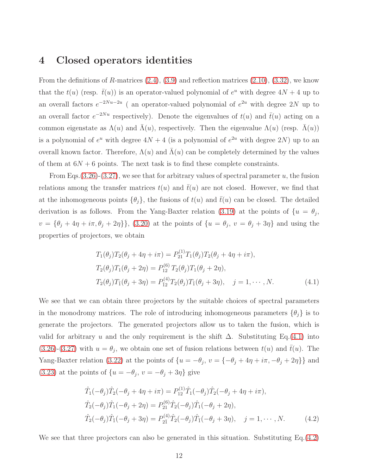### 4 Closed operators identities

From the definitions of R-matrices  $(2.4)$ ,  $(3.9)$  and reflection matrices  $(2.10)$ ,  $(3.32)$ , we know that the  $t(u)$  (resp.  $\bar{t}(u)$ ) is an operator-valued polynomial of  $e^u$  with degree  $4N + 4$  up to an overall factors  $e^{-2Nu-2u}$  (an operator-valued polynomial of  $e^{2u}$  with degree 2N up to an overall factor  $e^{-2Nu}$  respectively). Denote the eigenvalues of  $t(u)$  and  $\bar{t}(u)$  acting on a common eigenstate as  $\Lambda(u)$  and  $\bar{\Lambda}(u)$ , respectively. Then the eigenvalue  $\Lambda(u)$  (resp.  $\bar{\Lambda}(u)$ ) is a polynomial of  $e^u$  with degree  $4N + 4$  (is a polynomial of  $e^{2u}$  with degree  $2N$ ) up to an overall known factor. Therefore,  $\Lambda(u)$  and  $\bar{\Lambda}(u)$  can be completely determined by the values of them at  $6N + 6$  points. The next task is to find these complete constraints.

From Eqs.  $(3.26)-(3.27)$  $(3.26)-(3.27)$  $(3.26)-(3.27)$ , we see that for arbitrary values of spectral parameter u, the fusion relations among the transfer matrices  $t(u)$  and  $\bar{t}(u)$  are not closed. However, we find that at the inhomogeneous points  $\{\theta_i\}$ , the fusions of  $t(u)$  and  $\bar{t}(u)$  can be closed. The detailed derivation is as follows. From the Yang-Baxter relation [\(3.19\)](#page-8-1) at the points of  $\{u = \theta_j,$  $v = {\theta_j + 4\eta + i\pi, \theta_j + 2\eta}$ , [\(3.20\)](#page-8-1) at the points of  ${u = \theta_j, v = \theta_j + 3\eta}$  and using the properties of projectors, we obtain

<span id="page-11-0"></span>
$$
T_1(\theta_j)T_2(\theta_j + 4\eta + i\pi) = P_{21}^{(1)}T_1(\theta_j)T_2(\theta_j + 4\eta + i\pi),
$$
  
\n
$$
T_2(\theta_j)T_1(\theta_j + 2\eta) = P_{12}^{(6)}T_2(\theta_j)T_1(\theta_j + 2\eta),
$$
  
\n
$$
T_2(\theta_j)T_1(\theta_j + 3\eta) = P_{12}^{(4)}T_2(\theta_j)T_1(\theta_j + 3\eta), \quad j = 1, \dots, N.
$$
\n(4.1)

We see that we can obtain three projectors by the suitable choices of spectral parameters in the monodromy matrices. The role of introducing inhomogeneous parameters  $\{\theta_i\}$  is to generate the projectors. The generated projectors allow us to taken the fusion, which is valid for arbitrary u and the only requirement is the shift  $\Delta$ . Substituting Eq.[\(4.1\)](#page-11-0) into  $(3.26)-(3.27)$  $(3.26)-(3.27)$  $(3.26)-(3.27)$  with  $u = \theta_j$ , we obtain one set of fusion relations between  $t(u)$  and  $\bar{t}(u)$ . The Yang-Baxter relation [\(3.22\)](#page-8-2) at the points of  $\{u = -\theta_j, v = \{-\theta_j + 4\eta + i\pi, -\theta_j + 2\eta\}\}\$ and [\(3.23\)](#page-8-2) at the points of  $\{u = -\theta_j, v = -\theta_j + 3\eta\}$  give

<span id="page-11-1"></span>
$$
\hat{T}_1(-\theta_j)\hat{T}_2(-\theta_j + 4\eta + i\pi) = P_{12}^{(1)}\hat{T}_1(-\theta_j)\hat{T}_2(-\theta_j + 4\eta + i\pi),
$$
  
\n
$$
\hat{T}_2(-\theta_j)\hat{T}_1(-\theta_j + 2\eta) = P_{21}^{(6)}\hat{T}_2(-\theta_j)\hat{T}_1(-\theta_j + 2\eta),
$$
  
\n
$$
\hat{T}_2(-\theta_j)\hat{T}_1(-\theta_j + 3\eta) = P_{21}^{(4)}\hat{T}_2(-\theta_j)\hat{T}_1(-\theta_j + 3\eta), \quad j = 1, \cdots, N.
$$
\n(4.2)

We see that three projectors can also be generated in this situation. Substituting Eq. [\(4.2\)](#page-11-1)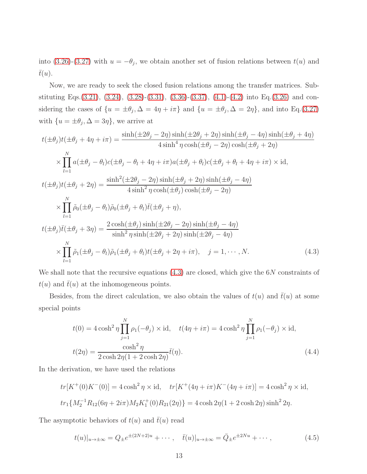into [\(3.26\)](#page-9-0)-[\(3.27\)](#page-9-0) with  $u = -\theta_j$ , we obtain another set of fusion relations between  $t(u)$  and  $\bar{t}(u)$ .

Now, we are ready to seek the closed fusion relations among the transfer matrices. Substituting Eqs.[\(3.21\)](#page-8-3), [\(3.24\)](#page-8-4), [\(3.28\)](#page-9-1)-[\(3.31\)](#page-9-2), [\(3.36\)](#page-10-2)-[\(3.37\)](#page-10-2), [\(4.1\)](#page-11-0)-[\(4.2\)](#page-11-1) into Eq.[\(3.26\)](#page-9-0) and considering the cases of  $\{u = \pm \theta_j, \Delta = 4\eta + i\pi\}$  and  $\{u = \pm \theta_j, \Delta = 2\eta\}$ , and into Eq.[\(3.27\)](#page-9-0) with  $\{u = \pm \theta_j, \Delta = 3\eta\}$ , we arrive at

<span id="page-12-0"></span>
$$
t(\pm\theta_j)t(\pm\theta_j+4\eta+i\pi) = \frac{\sinh(\pm 2\theta_j-2\eta)\sinh(\pm 2\theta_j+2\eta)\sinh(\pm \theta_j-4\eta)\sinh(\pm \theta_j+4\eta)}{4\sinh^4\eta\cosh(\pm\theta_j-2\eta)\cosh(\pm\theta_j+2\eta)}
$$
  
\n
$$
\times \prod_{l=1}^N a(\pm\theta_j-\theta_l)c(\pm\theta_j-\theta_l+4\eta+i\pi)a(\pm\theta_j+\theta_l)c(\pm\theta_j+\theta_l+4\eta+i\pi)\times\mathrm{id},
$$
  
\n
$$
t(\pm\theta_j)t(\pm\theta_j+2\eta) = \frac{\sinh^2(\pm 2\theta_j-2\eta)\sinh(\pm\theta_j+2\eta)\sinh(\pm\theta_j-4\eta)}{4\sinh^2\eta\cosh(\pm\theta_j)\cosh(\pm\theta_j-2\eta)}
$$
  
\n
$$
\times \prod_{l=1}^N \tilde{\rho}_0(\pm\theta_j-\theta_l)\tilde{\rho}_0(\pm\theta_j+\theta_l)\bar{t}(\pm\theta_j+\eta),
$$
  
\n
$$
t(\pm\theta_j)\bar{t}(\pm\theta_j+3\eta) = \frac{2\cosh(\pm\theta_j)\sinh(\pm 2\theta_j-2\eta)\sinh(\pm\theta_j-4\eta)}{\sinh^2\eta\sinh(\pm 2\theta_j+2\eta)\sinh(\pm 2\theta_j-4\eta)}
$$
  
\n
$$
\times \prod_{l=1}^N \tilde{\rho}_1(\pm\theta_j-\theta_l)\tilde{\rho}_1(\pm\theta_j+\theta_l)t(\pm\theta_j+2\eta+i\pi), \quad j=1,\cdots,N.
$$
 (4.3)

We shall note that the recursive equations  $(4.3)$  are closed, which give the 6N constraints of  $t(u)$  and  $\bar{t}(u)$  at the inhomogeneous points.

Besides, from the direct calculation, we also obtain the values of  $t(u)$  and  $\bar{t}(u)$  at some special points

<span id="page-12-1"></span>
$$
t(0) = 4 \cosh^2 \eta \prod_{j=1}^N \rho_1(-\theta_j) \times \mathrm{id}, \quad t(4\eta + i\pi) = 4 \cosh^2 \eta \prod_{j=1}^N \rho_1(-\theta_j) \times \mathrm{id},
$$

$$
t(2\eta) = \frac{\cosh^2 \eta}{2 \cosh 2\eta (1 + 2 \cosh 2\eta)} \bar{t}(\eta).
$$
(4.4)

In the derivation, we have used the relations

$$
tr[K^+(0)K^-(0)] = 4\cosh^2\eta \times id, \quad tr[K^+(4\eta + i\pi)K^-(4\eta + i\pi)] = 4\cosh^2\eta \times id,
$$
  

$$
tr_1\{M_2^{-1}R_{12}(6\eta + 2i\pi)M_2K_1^+(0)R_{21}(2\eta)\} = 4\cosh 2\eta(1 + 2\cosh 2\eta)\sinh^2 2\eta.
$$

The asymptotic behaviors of  $t(u)$  and  $\bar{t}(u)$  read

<span id="page-12-2"></span>
$$
t(u)|_{u \to \pm \infty} = Q_{\pm}e^{\pm (2N+2)u} + \cdots, \quad \bar{t}(u)|_{u \to \pm \infty} = \bar{Q}_{\pm}e^{\pm 2Nu} + \cdots,
$$
 (4.5)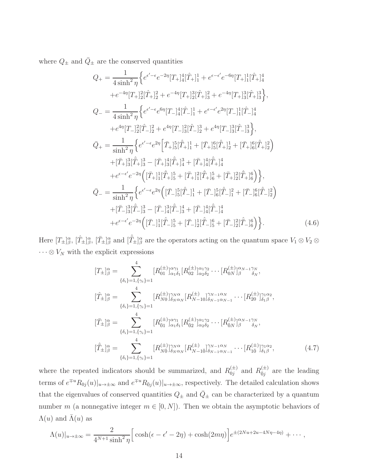where  $Q_{\pm}$  and  $\bar{Q}_{\pm}$  are the conserved quantities

$$
Q_{+} = \frac{1}{4 \sinh^{2} \eta} \Big\{ e^{\epsilon' - \epsilon} e^{-2\eta} [T_{+}]_{4}^{4} [\hat{T}_{+}]_{1}^{1} + e^{\epsilon - \epsilon'} e^{-6\eta} [T_{+}]_{1}^{1} [\hat{T}_{+}]_{4}^{4}
$$
  
\n
$$
+ e^{-4\eta} [T_{+}]_{2}^{2} [\hat{T}_{+}]_{2}^{2} + e^{-4\eta} [T_{+}]_{2}^{3} [\hat{T}_{+}]_{3}^{2} + e^{-4\eta} [T_{+}]_{3}^{3} [\hat{T}_{+}]_{3}^{3} \Big\},
$$
  
\n
$$
Q_{-} = \frac{1}{4 \sinh^{2} \eta} \Big\{ e^{\epsilon' - \epsilon} e^{6\eta} [T_{-}]_{4}^{4} [\hat{T}_{-}]_{1}^{1} + e^{\epsilon - \epsilon'} e^{2\eta} [T_{-}]_{1}^{1} [\hat{T}_{-}]_{4}^{4}
$$
  
\n
$$
+ e^{4\eta} [T_{-}]_{2}^{2} [\hat{T}_{-}]_{2}^{2} + e^{4\eta} [T_{-}]_{3}^{2} [\hat{T}_{-}]_{2}^{3} + e^{4\eta} [T_{-}]_{3}^{3} [\hat{T}_{-}]_{3}^{3} \Big\},
$$
  
\n
$$
\bar{Q}_{+} = \frac{1}{\sinh^{2} \eta} \Big\{ e^{\epsilon' - \epsilon} e^{2\eta} \Big[ \bar{T}_{+}]_{5}^{5} [\hat{\bar{T}}_{+}]_{1}^{1} + [\bar{T}_{+}]_{5}^{6} [\hat{\bar{T}}_{+}]_{2}^{1} + [\bar{T}_{+}]_{6}^{6} [\hat{\bar{T}}_{+}]_{2}^{2} \Big)
$$
  
\n
$$
+ [\bar{T}_{+}]_{3}^{3} [\hat{\bar{T}}_{+}]_{3}^{3} - [\bar{T}_{+}]_{3}^{4} [\hat{\bar{T}}_{+}]_{4}^{3} + [\bar{T}_{+}]_{4}^{4} [\hat{\bar{T}}_{+}]_{4}^{4}
$$
  
\n
$$
+ e^{\epsilon - \epsilon'} e^{-2\eta} \Big( [\bar{T}_{+}]_{1}^{1} [\hat{\bar{T}}_{+}]_{5}^{5} + [\bar{T}_{+}]_{1}^{2} [\hat{\bar{T}}_{+}]_{6}^{4} + [\bar{T}_{+}]_{2}^{2} [\hat
$$

Here  $[T_{\pm}]\beta^{\alpha}$ ,  $[\hat{T}_{\pm}]\beta^{\alpha}$  and  $[\hat{T}_{\pm}]\beta^{\alpha}$  are the operators acting on the quantum space  $V_1 \otimes V_2 \otimes$  $\cdot\cdot\cdot\otimes V_N$  with the explicit expressions

$$
[T_{\pm}]^{\alpha}_{\beta} = \sum_{\{\delta_i\} = 1, \{\gamma_i\} = 1}^{4} [R_{01}^{(\pm)}]^{\alpha \gamma_1}_{\alpha_1 \delta_1} [R_{02}^{(\pm)}]^{\alpha_1 \gamma_2}_{\alpha_2 \delta_2} \cdots [R_{0N}^{(\pm)}]^{\alpha_{N-1} \gamma_N}_{\beta} ,
$$
  
\n
$$
[T_{\pm}]^{\alpha}_{\beta} = \sum_{\{\delta_i\} = 1, \{\gamma_i\} = 1}^{4} [R_{N0}^{(\pm)}]^{\gamma_N \alpha}_{\delta_N \alpha_N} [R_{N-10}^{(\pm)}]^{\gamma_{N-1} \alpha_N}_{\delta_{N-1} \alpha_{N-1}} \cdots [R_{20}^{(\pm)}]^{\gamma_1 \alpha_2}_{\delta_1 \beta} ,
$$
  
\n
$$
[T_{\pm}]^{\alpha}_{\beta} = \sum_{\{\delta_i\} = 1, \{\gamma_i\} = 1}^{4} [R_{01}^{(\pm)}]^{\alpha \gamma_1}_{\alpha_1 \delta_1} [R_{02}^{(\pm)}]^{\alpha_1 \gamma_2}_{\alpha_2 \delta_2} \cdots [R_{0N}^{(\pm)}]^{\alpha_{N-1} \gamma_N}_{\beta} ,
$$
  
\n
$$
[T_{\pm}]^{\alpha}_{\beta} = \sum_{\{\delta_i\} = 1, \{\gamma_i\} = 1}^{4} [R_{N0}^{(\pm)}]^{\gamma_N \alpha}_{\delta_N \alpha_N} [R_{N-10}^{(\pm)}]^{\gamma_{N-1} \alpha_N}_{\delta_{N-1} \alpha_{N-1}} \cdots [R_{10}^{(\pm)}]^{\gamma_1 \alpha_2}_{\delta_1 \beta}, \qquad (4.7)
$$

where the repeated indicators should be summarized, and  $R_{0i}^{(\pm)}$  $_{0j}^{(\pm)}$  and  $R_{\bar{0}j}^{(\pm)}$  $\overline{c}_{j}^{(\pm)}$  are the leading terms of  $e^{\mp u}R_{0j}(u)|_{u\to\pm\infty}$  and  $e^{\mp u}R_{0j}(u)|_{u\to\pm\infty}$ , respectively. The detailed calculation shows that the eigenvalues of conserved quantities  $Q_{\pm}$  and  $\overline{Q}_{\pm}$  can be characterized by a quantum number m (a nonnegative integer  $m \in [0, N]$ ). Then we obtain the asymptotic behaviors of  $\Lambda(u)$  and  $\bar{\Lambda}(u)$  as

<span id="page-13-0"></span>
$$
\Lambda(u)|_{u\to\pm\infty} = \frac{2}{4^{N+1}\sinh^2\eta} \Big[\cosh(\epsilon-\epsilon'-2\eta) + \cosh(2m\eta)\Big] e^{\pm(2Nu+2u-4N\eta-4\eta)} + \cdots,
$$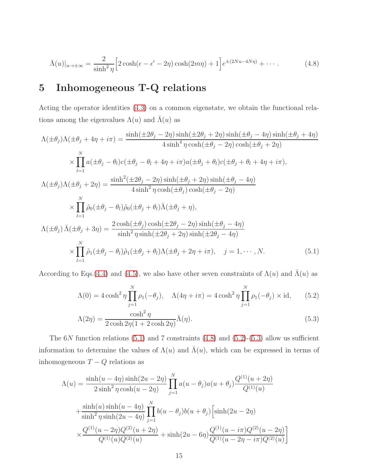$$
\bar{\Lambda}(u)|_{u \to \pm \infty} = \frac{2}{\sinh^2 \eta} \Big[ 2 \cosh(\epsilon - \epsilon' - 2\eta) \cosh(2m\eta) + 1 \Big] e^{\pm (2Nu - 4N\eta)} + \cdots. \tag{4.8}
$$

# 5 Inhomogeneous T-Q relations

Acting the operator identities [\(4.3\)](#page-12-0) on a common eigenstate, we obtain the functional relations among the eigenvalues  $\Lambda(u)$  and  $\overline{\Lambda}(u)$  as

<span id="page-14-0"></span>
$$
\Lambda(\pm\theta_j)\Lambda(\pm\theta_j + 4\eta + i\pi) = \frac{\sinh(\pm 2\theta_j - 2\eta)\sinh(\pm 2\theta_j + 2\eta)\sinh(\pm\theta_j - 4\eta)\sinh(\pm\theta_j + 4\eta)}{4\sinh^4 \eta \cosh(\pm\theta_j - 2\eta)\cosh(\pm\theta_j + 2\eta)}
$$

$$
\times \prod_{l=1}^N a(\pm\theta_j - \theta_l)c(\pm\theta_j - \theta_l + 4\eta + i\pi)a(\pm\theta_j + \theta_l)c(\pm\theta_j + \theta_l + 4\eta + i\pi),
$$

$$
\Lambda(\pm\theta_j)\Lambda(\pm\theta_j + 2\eta) = \frac{\sinh^2(\pm 2\theta_j - 2\eta)\sinh(\pm\theta_j + 2\eta)\sinh(\pm\theta_j - 4\eta)}{4\sinh^2 \eta\cosh(\pm\theta_j)\cosh(\pm\theta_j - 2\eta)}
$$

$$
\times \prod_{l=1}^N \tilde{\rho}_0(\pm\theta_j - \theta_l)\tilde{\rho}_0(\pm\theta_j + \theta_l)\bar{\Lambda}(\pm\theta_j + \eta),
$$

$$
\Lambda(\pm\theta_j)\bar{\Lambda}(\pm\theta_j + 3\eta) = \frac{2\cosh(\pm\theta_j)\cosh(\pm 2\theta_j - 2\eta)\sinh(\pm\theta_j - 4\eta)}{\sinh^2 \eta\sinh(\pm 2\theta_j + 2\eta)\sinh(\pm 2\theta_j - 4\eta)}
$$

$$
\times \prod_{l=1}^N \tilde{\rho}_1(\pm\theta_j - \theta_l)\tilde{\rho}_1(\pm\theta_j + \theta_l)\Lambda(\pm\theta_j + 2\eta + i\pi), \quad j = 1, \cdots, N. \tag{5.1}
$$

According to Eqs.[\(4.4\)](#page-12-1) and [\(4.5\)](#page-12-2), we also have other seven constraints of  $\Lambda(u)$  and  $\bar{\Lambda}(u)$  as

<span id="page-14-1"></span>
$$
\Lambda(0) = 4 \cosh^2 \eta \prod_{j=1}^N \rho_1(-\theta_j), \quad \Lambda(4\eta + i\pi) = 4 \cosh^2 \eta \prod_{j=1}^N \rho_1(-\theta_j) \times \text{id}, \quad (5.2)
$$

$$
\Lambda(2\eta) = \frac{\cosh^2 \eta}{2\cosh 2\eta (1 + 2\cosh 2\eta)} \bar{\Lambda}(\eta). \tag{5.3}
$$

The  $6N$  function relations  $(5.1)$  and 7 constraints  $(4.8)$  and  $(5.2)$ - $(5.3)$  allow us sufficient information to determine the values of  $\Lambda(u)$  and  $\bar{\Lambda}(u)$ , which can be expressed in terms of inhomogeneous  $T - Q$  relations as

<span id="page-14-2"></span>
$$
\Lambda(u) = \frac{\sinh(u - 4\eta)\sinh(2u - 2\eta)}{2\sinh^2\eta\cosh(u - 2\eta)} \prod_{j=1}^N a(u - \theta_j)a(u + \theta_j)\frac{Q^{(1)}(u + 2\eta)}{Q^{(1)}(u)}
$$

$$
+ \frac{\sinh(u)\sinh(u - 4\eta)}{\sinh^2\eta\sinh(2u - 4\eta)} \prod_{j=1}^N b(u - \theta_j)b(u + \theta_j)\left[\sinh(2u - 2\eta)\right]
$$

$$
\times \frac{Q^{(1)}(u - 2\eta)Q^{(2)}(u + 2\eta)}{Q^{(1)}(u)Q^{(2)}(u)} + \sinh(2u - 6\eta)\frac{Q^{(1)}(u - i\pi)Q^{(2)}(u - 2\eta)}{Q^{(1)}(u - 2\eta - i\pi)Q^{(2)}(u)}\right]
$$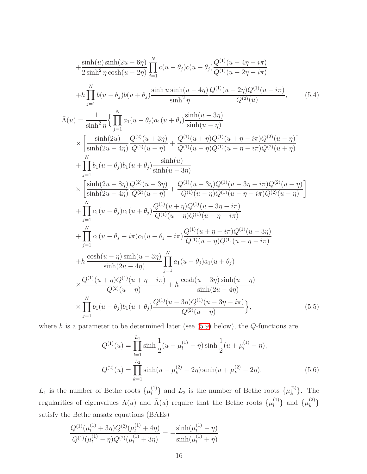$$
+\frac{\sinh(u)\sinh(2u-6\eta)}{2\sinh^2\eta\cosh(u-2\eta)}\prod_{j=1}^{N}c(u-\theta_j)c(u+\theta_j)\frac{Q^{(1)}(u-4\eta-i\pi)}{Q^{(1)}(u-2\eta-i\pi)}
$$
  
\n
$$
+h\prod_{j=1}^{N}b(u-\theta_j)b(u+\theta_j)\frac{\sinh u\sinh(u-4\eta)}{\sinh^2\eta}\frac{Q^{(1)}(u-2\eta)Q^{(1)}(u-i\pi)}{Q^{(2)}(u)}, \qquad (5.4)
$$
  
\n
$$
\bar{\Lambda}(u) = \frac{1}{\sinh^2\eta}\left\{\prod_{j=1}^{N}a_1(u-\theta_j)a_1(u+\theta_j)\frac{\sinh(u-3\eta)}{\sinh(u-\eta)}\right\}
$$
  
\n
$$
\times\left[\frac{\sinh(2u)}{\sinh(2u-4\eta)}\frac{Q^{(2)}(u+3\eta)}{Q^{(2)}(u+\eta)}+\frac{Q^{(1)}(u+\eta)Q^{(1)}(u+\eta-i\pi)Q^{(2)}(u-\eta)}{Q^{(2)}(u+\eta)}\right]
$$
  
\n
$$
+\prod_{j=1}^{N}b_1(u-\theta_j)b_1(u+\theta_j)\frac{\sinh(u)}{\sinh(u-3\eta)}
$$
  
\n
$$
\times\left[\frac{\sinh(2u-8\eta)}{\sinh(2u-4\eta)}\frac{Q^{(2)}(u-3\eta)}{Q^{(2)}(u-\eta)}+\frac{Q^{(1)}(u-3\eta)Q^{(1)}(u-3\eta-i\pi)Q^{(2)}(u+\eta)}{Q^{(1)}(u-\eta)Q^{(1)}(u-\eta-i\pi)Q^{(2)}(u-\eta)}\right]
$$
  
\n
$$
+\prod_{j=1}^{N}c_1(u-\theta_j)c_1(u+\theta_j)\frac{Q^{(1)}(u+\eta)Q^{(1)}(u-3\eta-i\pi)}{Q^{(1)}(u-\eta)Q^{(1)}(u-\eta-i\pi)}
$$
  
\n
$$
+\prod_{j=1}^{N}c_1(u-\theta_j-i\pi)c_1(u+\theta_j-i\pi)\frac{Q^{(1)}(u+\eta-i\pi)Q^{(1)}(u-3\eta)}{Q^{(1)}(u-\eta)Q^{(1)}(u-\eta-i\pi)}
$$
  
\n

where  $h$  is a parameter to be determined later (see  $(5.9)$  below), the  $Q$ -functions are

$$
Q^{(1)}(u) = \prod_{l=1}^{L_1} \sinh \frac{1}{2} (u - \mu_l^{(1)} - \eta) \sinh \frac{1}{2} (u + \mu_l^{(1)} - \eta),
$$
  

$$
Q^{(2)}(u) = \prod_{k=1}^{L_2} \sinh(u - \mu_k^{(2)} - 2\eta) \sinh(u + \mu_k^{(2)} - 2\eta),
$$
 (5.6)

 $L_1$  is the number of Bethe roots  $\{\mu_l^{(1)}\}$  $\{\mu_k^{(1)}\}$  and  $L_2$  is the number of Bethe roots  $\{\mu_k^{(2)}\}$  $\{e^{(2)}\}$ . The regularities of eigenvalues  $\Lambda(u)$  and  $\bar{\Lambda}(u)$  require that the Bethe roots  $\{\mu_l^{(1)}\}$  $\{\mu_k^{(1)}\}$  and  $\{\mu_k^{(2)}\}$  $\hat{k}$   $\hat{f}$ satisfy the Bethe ansatz equations (BAEs)

<span id="page-15-0"></span>
$$
\frac{Q^{(1)}(\mu_l^{(1)} + 3\eta)Q^{(2)}(\mu_l^{(1)} + 4\eta)}{Q^{(1)}(\mu_l^{(1)} - \eta)Q^{(2)}(\mu_l^{(1)} + 3\eta)} = -\frac{\sinh(\mu_l^{(1)} - \eta)}{\sinh(\mu_l^{(1)} + \eta)}
$$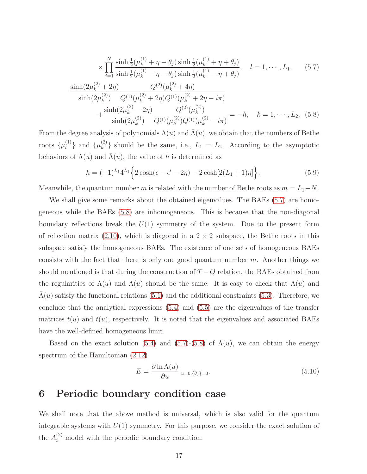$$
\times \prod_{j=1}^{N} \frac{\sinh \frac{1}{2} (\mu_k^{(1)} + \eta - \theta_j) \sinh \frac{1}{2} (\mu_k^{(1)} + \eta + \theta_j)}{\sinh \frac{1}{2} (\mu_k^{(1)} - \eta - \theta_j) \sinh \frac{1}{2} (\mu_k^{(1)} - \eta + \theta_j)}, \quad l = 1, \cdots, L_1, \quad (5.7)
$$

$$
\frac{\sinh(2\mu_k^{(2)} + 2\eta)}{\sinh(2\mu_k^{(2)})} \frac{Q^{(2)}(\mu_k^{(2)} + 4\eta)}{Q^{(1)}(\mu_k^{(2)} + 2\eta)Q^{(1)}(\mu_k^{(2)} + 2\eta - i\pi)} + \frac{\sinh(2\mu_k^{(2)} - 2\eta)}{\sinh(2\mu_k^{(2)})} \frac{Q^{(2)}(\mu_k^{(2)})}{Q^{(1)}(\mu_k^{(2)})Q^{(1)}(\mu_k^{(2)} - i\pi)} = -h, \quad k = 1, \cdots, L_2. \quad (5.8)
$$

From the degree analysis of polynomials  $\Lambda(u)$  and  $\Lambda(u)$ , we obtain that the numbers of Bethe roots  $\{\mu_l^{(1)}\}$  $\{\mu_k^{(1)}\}$  and  $\{\mu_k^{(2)}\}$  ${k \choose k}$  should be the same, i.e.,  $L_1 = L_2$ . According to the asymptotic behaviors of  $\Lambda(u)$  and  $\Lambda(u)$ , the value of h is determined as

<span id="page-16-0"></span>
$$
h = (-1)^{L_1} 4^{L_1} \left\{ 2 \cosh(\epsilon - \epsilon' - 2\eta) - 2 \cosh[2(L_1 + 1)\eta] \right\}.
$$
 (5.9)

Meanwhile, the quantum number m is related with the number of Bethe roots as  $m = L_1 - N$ .

We shall give some remarks about the obtained eigenvalues. The BAEs [\(5.7\)](#page-15-0) are homogeneous while the BAEs [\(5.8\)](#page-15-0) are inhomogeneous. This is because that the non-diagonal boundary reflections break the  $U(1)$  symmetry of the system. Due to the present form of reflection matrix  $(2.10)$ , which is diagonal in a  $2 \times 2$  subspace, the Bethe roots in this subspace satisfy the homogeneous BAEs. The existence of one sets of homogeneous BAEs consists with the fact that there is only one good quantum number  $m$ . Another things we should mentioned is that during the construction of  $T - Q$  relation, the BAEs obtained from the regularities of  $\Lambda(u)$  and  $\Lambda(u)$  should be the same. It is easy to check that  $\Lambda(u)$  and  $\Lambda(u)$  satisfy the functional relations [\(5.1\)](#page-14-0) and the additional constraints [\(5.3\)](#page-14-1). Therefore, we conclude that the analytical expressions [\(5.4\)](#page-14-2) and [\(5.5\)](#page-14-2) are the eigenvalues of the transfer matrices  $t(u)$  and  $\bar{t}(u)$ , respectively. It is noted that the eigenvalues and associated BAEs have the well-defined homogeneous limit.

Based on the exact solution [\(5.4\)](#page-14-2) and [\(5.7\)](#page-15-0)-[\(5.8\)](#page-15-0) of  $\Lambda(u)$ , we can obtain the energy spectrum of the Hamiltonian [\(2.12\)](#page-4-2)

$$
E = \frac{\partial \ln \Lambda(u)}{\partial u}|_{u=0, \{\theta_j\}=0}.
$$
\n(5.10)

# 6 Periodic boundary condition case

We shall note that the above method is universal, which is also valid for the quantum integrable systems with  $U(1)$  symmetry. For this purpose, we consider the exact solution of the  $A_3^{(2)}$  model with the periodic boundary condition.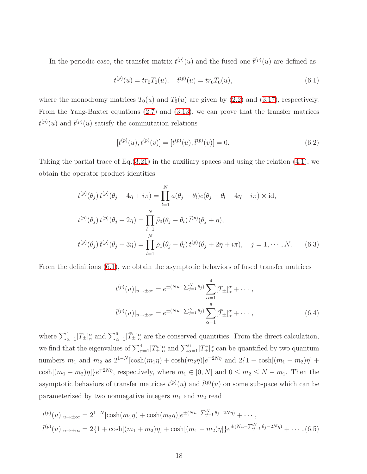In the periodic case, the transfer matrix  $t^{(p)}(u)$  and the fused one  $\bar{t}^{(p)}(u)$  are defined as

<span id="page-17-0"></span>
$$
t^{(p)}(u) = tr_0 T_0(u), \quad \bar{t}^{(p)}(u) = tr_{\bar{0}} T_{\bar{0}}(u), \tag{6.1}
$$

where the monodromy matrices  $T_0(u)$  and  $T_0(u)$  are given by [\(2.2\)](#page-2-2) and [\(3.17\)](#page-7-2), respectively. From the Yang-Baxter equations [\(2.7\)](#page-3-2) and [\(3.13\)](#page-7-1), we can prove that the transfer matrices  $t^{(p)}(u)$  and  $\bar{t}^{(p)}(u)$  satisfy the commutation relations

$$
[t^{(p)}(u), t^{(p)}(v)] = [t^{(p)}(u), \bar{t}^{(p)}(v)] = 0.
$$
\n(6.2)

Taking the partial trace of  $Eq.(3.21)$  $Eq.(3.21)$  in the auxiliary spaces and using the relation  $(4.1)$ , we obtain the operator product identities

<span id="page-17-1"></span>
$$
t^{(p)}(\theta_j) t^{(p)}(\theta_j + 4\eta + i\pi) = \prod_{l=1}^N a(\theta_j - \theta_l)c(\theta_j - \theta_l + 4\eta + i\pi) \times \text{id},
$$
  

$$
t^{(p)}(\theta_j) t^{(p)}(\theta_j + 2\eta) = \prod_{l=1}^N \tilde{\rho}_0(\theta_j - \theta_l) \bar{t}^{(p)}(\theta_j + \eta),
$$
  

$$
t^{(p)}(\theta_j) \bar{t}^{(p)}(\theta_j + 3\eta) = \prod_{l=1}^N \tilde{\rho}_1(\theta_j - \theta_l) t^{(p)}(\theta_j + 2\eta + i\pi), \quad j = 1, \cdots, N.
$$
 (6.3)

From the definitions [\(6.1\)](#page-17-0), we obtain the asymptotic behaviors of fused transfer matrices

$$
t^{(p)}(u)|_{u \to \pm \infty} = e^{\pm (Nu - \sum_{j=1}^{N} \theta_j)} \sum_{\alpha=1}^{4} [T_{\pm}]_{\alpha}^{\alpha} + \cdots ,
$$
  

$$
\bar{t}^{(p)}(u)|_{u \to \pm \infty} = e^{\pm (Nu - \sum_{j=1}^{N} \theta_j)} \sum_{\alpha=1}^{6} [\bar{T}_{\pm}]_{\alpha}^{\alpha} + \cdots , \qquad (6.4)
$$

where  $\sum_{\alpha=1}^{4}[T_{\pm}]\alpha^{\alpha}$  and  $\sum_{\alpha=1}^{6}[T_{\pm}]\alpha^{\alpha}$  are the conserved quantities. From the direct calculation, we find that the eigenvalues of  $\sum_{\alpha=1}^4 [T_{\pm}^v]_{\alpha}^{\alpha}$  and  $\sum_{\alpha=1}^6 [T_{\pm}^{\bar{v}}]_{\alpha}^{\alpha}$  can be quantified by two quantum numbers  $m_1$  and  $m_2$  as  $2^{1-N}[\cosh(m_1\eta) + \cosh(m_2\eta)]e^{\mp 2N\eta}$  and  $2\{1 + \cosh[(m_1 + m_2)\eta] +$  $\cosh[(m_1 - m_2)\eta]$   $e^{\mp 2N\eta}$ , respectively, where  $m_1 \in [0, N]$  and  $0 \le m_2 \le N - m_1$ . Then the asymptotic behaviors of transfer matrices  $t^{(p)}(u)$  and  $\bar{t}^{(p)}(u)$  on some subspace which can be parameterized by two nonnegative integers  $m_1$  and  $m_2$  read

<span id="page-17-2"></span>
$$
t^{(p)}(u)|_{u\to\pm\infty} = 2^{1-N}[\cosh(m_1\eta) + \cosh(m_2\eta)]e^{\pm(Nu-\sum_{j=1}^N \theta_j - 2N\eta)} + \cdots,
$$
  

$$
\bar{t}^{(p)}(u)|_{u\to\pm\infty} = 2\{1 + \cosh[(m_1 + m_2)\eta] + \cosh[(m_1 - m_2)\eta]\}e^{\pm(Nu-\sum_{j=1}^N \theta_j - 2N\eta)} + \cdots
$$
 (6.5)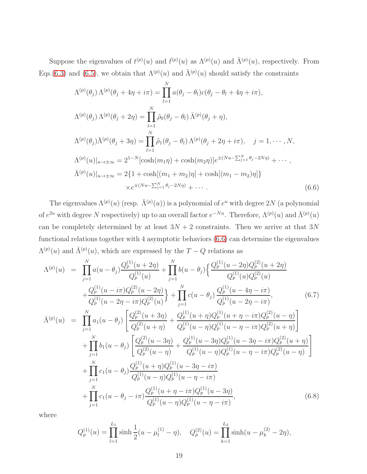Suppose the eigenvalues of  $t^{(p)}(u)$  and  $\bar{t}^{(p)}(u)$  as  $\Lambda^{(p)}(u)$  and  $\bar{\Lambda}^{(p)}(u)$ , respectively. From Eqs.[\(6.3\)](#page-17-1) and [\(6.5\)](#page-17-2), we obtain that  $\Lambda^{(p)}(u)$  and  $\bar{\Lambda}^{(p)}(u)$  should satisfy the constraints

<span id="page-18-0"></span>
$$
\Lambda^{(p)}(\theta_j) \Lambda^{(p)}(\theta_j + 4\eta + i\pi) = \prod_{l=1}^N a(\theta_j - \theta_l)c(\theta_j - \theta_l + 4\eta + i\pi),
$$
  
\n
$$
\Lambda^{(p)}(\theta_j) \Lambda^{(p)}(\theta_j + 2\eta) = \prod_{l=1}^N \tilde{\rho}_0(\theta_j - \theta_l) \bar{\Lambda}^{(p)}(\theta_j + \eta),
$$
  
\n
$$
\Lambda^{(p)}(\theta_j) \bar{\Lambda}^{(p)}(\theta_j + 3\eta) = \prod_{l=1}^N \tilde{\rho}_1(\theta_j - \theta_l) \Lambda^{(p)}(\theta_j + 2\eta + i\pi), \quad j = 1, \dots, N,
$$
  
\n
$$
\Lambda^{(p)}(u)|_{u \to \pm \infty} = 2^{1-N} [\cosh(m_1\eta) + \cosh(m_2\eta)] e^{\pm (Nu - \sum_{j=1}^N \theta_j - 2N\eta)} + \dots,
$$
  
\n
$$
\bar{\Lambda}^{(p)}(u)|_{u \to \pm \infty} = 2\{1 + \cosh[(m_1 + m_2)\eta] + \cosh[(m_1 - m_2)\eta]\}
$$
  
\n
$$
\times e^{\pm (Nu - \sum_{j=1}^N \theta_j - 2N\eta)} + \dots
$$
\n(6.6)

The eigenvalues  $\Lambda^{(p)}(u)$  (resp.  $\bar{\Lambda}^{(p)}(u)$ ) is a polynomial of  $e^u$  with degree 2N (a polynomial of  $e^{2u}$  with degree N respectively) up to an overall factor  $e^{-Nu}$ . Therefore,  $\Lambda^{(p)}(u)$  and  $\bar{\Lambda}^{(p)}(u)$ can be completely determined by at least  $3N + 2$  constraints. Then we arrive at that  $3N$ functional relations together with 4 asymptotic behaviors [\(6.6\)](#page-18-0) can determine the eigenvalues  $\Lambda^{(p)}(u)$  and  $\bar{\Lambda}^{(p)}(u)$ , which are expressed by the  $T-Q$  relations as

<span id="page-18-1"></span>
$$
\Lambda^{(p)}(u) = \prod_{j=1}^{N} a(u - \theta_j) \frac{Q_p^{(1)}(u + 2\eta)}{Q_p^{(1)}(u)} + \prod_{j=1}^{N} b(u - \theta_j) \left\{ \frac{Q_p^{(1)}(u - 2\eta)Q_p^{(2)}(u + 2\eta)}{Q_p^{(1)}(u)Q_p^{(2)}(u)} \right\} \n+ \frac{Q_p^{(1)}(u - i\pi)Q_p^{(2)}(u - 2\eta)}{Q_p^{(1)}(u - 2\eta - i\pi)Q_p^{(2)}(u)} \right\} + \prod_{j=1}^{N} c(u - \theta_j) \frac{Q_p^{(1)}(u - 4\eta - i\pi)}{Q_p^{(1)}(u - 2\eta - i\pi)},
$$
\n
$$
\bar{\Lambda}^{(p)}(u) = \prod_{j=1}^{N} a_1(u - \theta_j) \left[ \frac{Q_p^{(2)}(u + 3\eta)}{Q_p^{(2)}(u + \eta)} + \frac{Q_p^{(1)}(u + \eta)Q_p^{(1)}(u + \eta - i\pi)Q_p^{(2)}(u - \eta)}{Q_p^{(1)}(u - \eta)Q_p^{(1)}(u - \eta - i\pi)Q_p^{(2)}(u + \eta)} \right] \n+ \prod_{j=1}^{N} b_1(u - \theta_j) \left[ \frac{Q_p^{(2)}(u - 3\eta)}{Q_p^{(2)}(u - \eta)} + \frac{Q_p^{(1)}(u - 3\eta)Q_p^{(1)}(u - 3\eta - i\pi)Q_p^{(2)}(u + \eta)}{Q_p^{(1)}(u - \eta)Q_p^{(1)}(u - \eta)Q_p^{(1)}(u - \eta - i\pi)Q_p^{(2)}(u - \eta)} \right] \n+ \prod_{j=1}^{N} c_1(u - \theta_j) \frac{Q_p^{(1)}(u + \eta)Q_p^{(1)}(u - 3\eta - i\pi)}{Q_p^{(1)}(u - \eta)Q_p^{(1)}(u - \eta - i\pi)}
$$
\n
$$
+ \prod_{j=1}^{N} c_1(u - \theta_j - i\pi) \frac{Q_p^{(1)}(u + \eta - i\pi)Q_p^{(1)}(u - \eta - i\pi)}{Q_p^{(1)}(u - \eta)Q_p^{(1)}(u - \eta - i\pi
$$

where

$$
Q_p^{(1)}(u) = \prod_{l=1}^{L_1} \sinh \frac{1}{2}(u - \mu_l^{(1)} - \eta), \quad Q_p^{(2)}(u) = \prod_{k=1}^{L_2} \sinh(u - \mu_k^{(2)} - 2\eta),
$$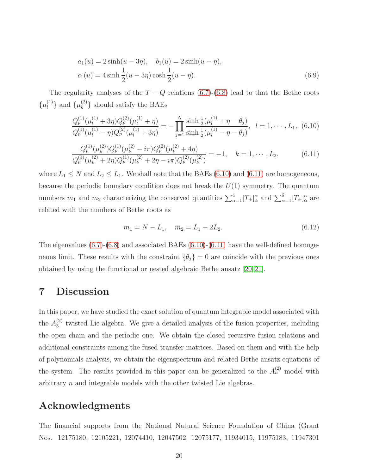$$
a_1(u) = 2\sinh(u - 3\eta), \quad b_1(u) = 2\sinh(u - \eta),
$$
  
\n
$$
c_1(u) = 4\sinh\frac{1}{2}(u - 3\eta)\cosh\frac{1}{2}(u - \eta).
$$
\n(6.9)

The regularity analyses of the  $T - Q$  relations [\(6.7\)](#page-18-1)-[\(6.8\)](#page-18-1) lead to that the Bethe roots  $\{\mu_l^{(1)}\}$  $\{\mu_k^{(1)}\}$  and  $\{\mu_k^{(2)}\}$  $\binom{2}{k}$  should satisfy the BAEs

<span id="page-19-0"></span>
$$
\frac{Q_p^{(1)}(\mu_l^{(1)} + 3\eta)Q_p^{(2)}(\mu_l^{(1)} + \eta)}{Q_p^{(1)}(\mu_l^{(1)} - \eta)Q_p^{(2)}(\mu_l^{(1)} + 3\eta)} = -\prod_{j=1}^N \frac{\sinh\frac{1}{2}(\mu_l^{(1)} + \eta - \theta_j)}{\sinh\frac{1}{2}(\mu_l^{(1)} - \eta - \theta_j)}, \quad l = 1, \cdots, L_1, (6.10)
$$

$$
\frac{Q_p^{(1)}(\mu_k^{(2)})Q_p^{(1)}(\mu_k^{(2)} - i\pi)Q_p^{(2)}(\mu_k^{(2)} + 4\eta)}{Q_p^{(1)}(\mu_k^{(2)} + 2\eta)Q_p^{(1)}(\mu_k^{(2)} + 2\eta - i\pi)Q_p^{(2)}(\mu_k^{(2)})} = -1, \quad k = 1, \cdots, L_2,
$$
\n(6.11)

where  $L_1 \leq N$  and  $L_2 \leq L_1$ . We shall note that the BAEs [\(6.10\)](#page-19-0) and [\(6.11\)](#page-19-0) are homogeneous, because the periodic boundary condition does not break the  $U(1)$  symmetry. The quantum numbers  $m_1$  and  $m_2$  characterizing the conserved quantities  $\sum_{\alpha=1}^4 [T_{\pm}]^{\alpha}_{\alpha}$  and  $\sum_{\alpha=1}^6 [\bar{T}_{\pm}]^{\alpha}_{\alpha}$  are related with the numbers of Bethe roots as

$$
m_1 = N - L_1, \quad m_2 = L_1 - 2L_2. \tag{6.12}
$$

The eigenvalues  $(6.7)-(6.8)$  $(6.7)-(6.8)$  and associated BAEs  $(6.10)-(6.11)$  $(6.10)-(6.11)$  have the well-defined homogeneous limit. These results with the constraint  $\{\theta_j\} = 0$  are coincide with the previous ones obtained by using the functional or nested algebraic Bethe ansatz [\[20,](#page-22-4) [21\]](#page-22-5).

# 7 Discussion

In this paper, we have studied the exact solution of quantum integrable model associated with the  $A_3^{(2)}$  $\frac{1}{3}$  twisted Lie algebra. We give a detailed analysis of the fusion properties, including the open chain and the periodic one. We obtain the closed recursive fusion relations and additional constraints among the fused transfer matrices. Based on them and with the help of polynomials analysis, we obtain the eigenspectrum and related Bethe ansatz equations of the system. The results provided in this paper can be generalized to the  $A_n^{(2)}$  model with arbitrary  $n$  and integrable models with the other twisted Lie algebras.

# Acknowledgments

The financial supports from the National Natural Science Foundation of China (Grant Nos. 12175180, 12105221, 12074410, 12047502, 12075177, 11934015, 11975183, 11947301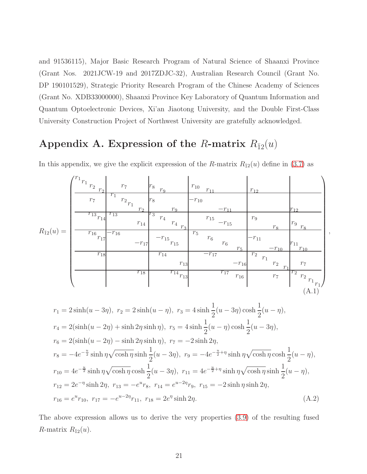and 91536115), Major Basic Research Program of Natural Science of Shaanxi Province (Grant Nos. 2021JCW-19 and 2017ZDJC-32), Australian Research Council (Grant No. DP 190101529), Strategic Priority Research Program of the Chinese Academy of Sciences (Grant No. XDB33000000), Shaanxi Province Key Laboratory of Quantum Information and Quantum Optoelectronic Devices, Xi'an Jiaotong University, and the Double First-Class University Construction Project of Northwest University are gratefully acknowledged.

# Appendix A. Expression of the R-matrix  $R_{\bar{1}2}(u)$

<span id="page-20-0"></span>

|                     | $\frac{r_1}{r_1}$ $\frac{r_2}{r_2}$ | $r_7\,$                                   | $r_8$ $\frac{r_9}{r_9}$         | $r_{\rm 10}$<br>$r_{11}$                  | $r_{12}$                                              |                                                                 |
|---------------------|-------------------------------------|-------------------------------------------|---------------------------------|-------------------------------------------|-------------------------------------------------------|-----------------------------------------------------------------|
| $R_{\bar{1}2}(u) =$ | $r_7\,$                             | $r_1$<br>$r_{\rm 2}_{r_{\rm 1}}$<br>$r_2$ | $r_8$<br>r <sub>9</sub>         | $-r_{10}$<br>$-r_{11}$                    |                                                       | $r_{12}$                                                        |
|                     | $\overline{r_{13}}_{r_{14}}$        | $r_{13}$<br>$r_{14}$                      | $r_3$<br>$r_{4}$<br>$r_4$ $r_3$ | $r_{15}$<br>$-r_{15}$                     | $r_{9}$<br>$r_8$                                      | $r_9$ $\frac{r_8}{s}$                                           |
|                     | $\overline{r_{16}}_{r_{17}}$        | $-r_{16}$<br>$-r_{17^{\mid}}$             | $-r_{15}\over r_{15}$           | $r_{\rm 5}$<br>$r_{\rm 6}$<br>$r_{\rm 6}$ | $-r_{11}$                                             | $r_{11}$                                                        |
|                     | $r_{18}$                            |                                           | $r_{14}$<br>$r_{13}$            | $r_{5}$<br>$-r_{17}$<br>$-r_{16}$         | $-r_{10}$<br>$r_2$<br>$rac{r_1}{r_2}$ $rac{r_1}{r_1}$ | $r_{10}$<br>$r_7\,$                                             |
|                     |                                     | $r_{18}$                                  | $\overline{r_{14}}_{r_{13}}$    | $r_{17}$<br>$r_{16}$                      | $r_7\,$                                               | $r_2$<br>$\begin{array}{cc} r_2 & r_1 \\ r_1 & r_2 \end{array}$ |
|                     |                                     |                                           |                                 |                                           |                                                       | (A.1)                                                           |

,

In this appendix, we give the explicit expression of the R-matrix  $R_{\bar{1}2}(u)$  define in [\(3.7\)](#page-5-0) as

<span id="page-20-1"></span>
$$
r_1 = 2\sinh(u - 3\eta), \ r_2 = 2\sinh(u - \eta), \ r_3 = 4\sinh\frac{1}{2}(u - 3\eta)\cosh\frac{1}{2}(u - \eta),
$$
  
\n
$$
r_4 = 2(\sinh(u - 2\eta) + \sinh 2\eta \sinh \eta), \ r_5 = 4\sinh\frac{1}{2}(u - \eta)\cosh\frac{1}{2}(u - 3\eta),
$$
  
\n
$$
r_6 = 2(\sinh(u - 2\eta) - \sinh 2\eta \sinh \eta), \ r_7 = -2\sinh 2\eta,
$$
  
\n
$$
r_8 = -4e^{-\frac{u}{2}}\sinh\eta\sqrt{\cosh\eta}\sinh\frac{1}{2}(u - 3\eta), \ r_9 = -4e^{-\frac{u}{2} + \eta}\sinh\eta\sqrt{\cosh\eta}\cosh\frac{1}{2}(u - \eta),
$$
  
\n
$$
r_{10} = 4e^{-\frac{u}{2}}\sinh\eta\sqrt{\cosh\eta}\cosh\frac{1}{2}(u - 3\eta), \ r_{11} = 4e^{-\frac{u}{2} + \eta}\sinh\eta\sqrt{\cosh\eta}\sinh\frac{1}{2}(u - \eta),
$$
  
\n
$$
r_{12} = 2e^{-\eta}\sinh 2\eta, \ r_{13} = -e^{u}r_8, \ r_{14} = e^{u-2\eta}r_9, \ r_{15} = -2\sinh\eta\sinh 2\eta,
$$
  
\n
$$
r_{16} = e^{u}r_{10}, \ r_{17} = -e^{u-2\eta}r_{11}, \ r_{18} = 2e^{\eta}\sinh 2\eta.
$$
\n(A.2)

The above expression allows us to derive the very properties [\(3.9\)](#page-6-0) of the resulting fused *R*-matrix  $R_{\bar{1}2}(u)$ .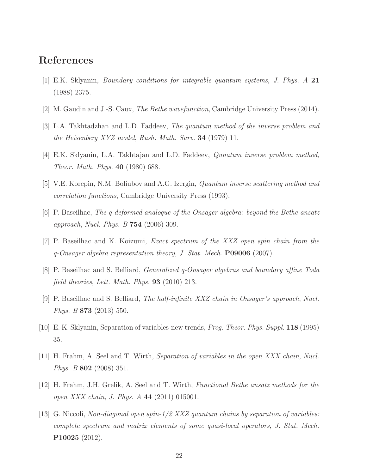# <span id="page-21-0"></span>References

- <span id="page-21-1"></span>[1] E.K. Sklyanin, Boundary conditions for integrable quantum systems, J. Phys. A 21 (1988) 2375.
- <span id="page-21-2"></span>[2] M. Gaudin and J.-S. Caux, The Bethe wavefunction, Cambridge University Press (2014).
- [3] L.A. Takhtadzhan and L.D. Faddeev, The quantum method of the inverse problem and the Heisenberg XYZ model, Rush. Math. Surv. 34 (1979) 11.
- <span id="page-21-3"></span>[4] E.K. Sklyanin, L.A. Takhtajan and L.D. Faddeev, Qunatum inverse problem method, Theor. Math. Phys. 40 (1980) 688.
- <span id="page-21-4"></span>[5] V.E. Korepin, N.M. Boliubov and A.G. Izergin, Quantum inverse scattering method and correlation functions, Cambridge University Press (1993).
- [6] P. Baseilhac, The q-deformed analogue of the Onsager algebra: beyond the Bethe ansatz approach, Nucl. Phys. B 754 (2006) 309.
- [7] P. Baseilhac and K. Koizumi, Exact spectrum of the XXZ open spin chain from the  $q$ -Onsager algebra representation theory, J. Stat. Mech. **P09006** (2007).
- <span id="page-21-5"></span>[8] P. Baseilhac and S. Belliard, Generalized q-Onsager algebras and boundary affine Toda field theories, Lett. Math. Phys. 93 (2010) 213.
- <span id="page-21-6"></span>[9] P. Baseilhac and S. Belliard, The half-infinite XXZ chain in Onsager's approach, Nucl. Phys. B 873 (2013) 550.
- [10] E. K. Sklyanin, Separation of variables-new trends, Prog. Theor. Phys. Suppl. 118 (1995) 35.
- [11] H. Frahm, A. Seel and T. Wirth, Separation of variables in the open XXX chain, Nucl. Phys. B 802 (2008) 351.
- <span id="page-21-7"></span>[12] H. Frahm, J.H. Grelik, A. Seel and T. Wirth, Functional Bethe ansatz methods for the open XXX chain, J. Phys.  $A$  44 (2011) 015001.
- [13] G. Niccoli, Non-diagonal open spin-1/2 XXZ quantum chains by separation of variables: complete spectrum and matrix elements of some quasi-local operators, J. Stat. Mech. P10025 (2012).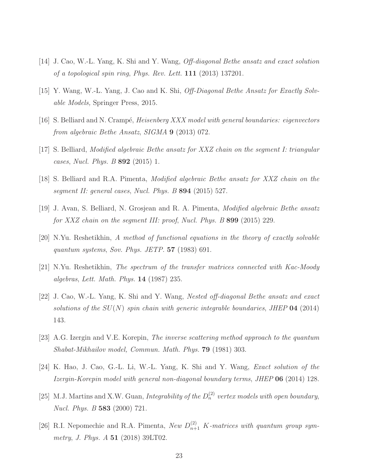- <span id="page-22-1"></span><span id="page-22-0"></span>[14] J. Cao, W.-L. Yang, K. Shi and Y. Wang, Off-diagonal Bethe ansatz and exact solution of a topological spin ring, Phys. Rev. Lett. 111 (2013) 137201.
- <span id="page-22-2"></span>[15] Y. Wang, W.-L. Yang, J. Cao and K. Shi, Off-Diagonal Bethe Ansatz for Exactly Solvable Models, Springer Press, 2015.
- [16] S. Belliard and N. Crampé, *Heisenberg XXX model with general boundaries: eigenvectors* from algebraic Bethe Ansatz, SIGMA 9 (2013) 072.
- [17] S. Belliard, Modified algebraic Bethe ansatz for XXZ chain on the segment I: triangular cases, Nucl. Phys.  $B\,892\,$  (2015) 1.
- <span id="page-22-3"></span>[18] S. Belliard and R.A. Pimenta, Modified algebraic Bethe ansatz for XXZ chain on the segment II: general cases, Nucl. Phys. B 894 (2015) 527.
- <span id="page-22-4"></span>[19] J. Avan, S. Belliard, N. Grosjean and R. A. Pimenta, Modified algebraic Bethe ansatz for XXZ chain on the segment III: proof, Nucl. Phys. B 899 (2015) 229.
- <span id="page-22-5"></span>[20] N.Yu. Reshetikhin, A method of functional equations in the theory of exactly solvable quantum systems, Sov. Phys. JETP.  $57$  (1983) 691.
- <span id="page-22-6"></span>[21] N.Yu. Reshetikhin, The spectrum of the transfer matrices connected with Kac-Moody algebras, Lett. Math. Phys. 14 (1987) 235.
- [22] J. Cao, W.-L. Yang, K. Shi and Y. Wang, Nested off-diagonal Bethe ansatz and exact solutions of the  $SU(N)$  spin chain with generic integrable boundaries, JHEP 04 (2014) 143.
- <span id="page-22-8"></span><span id="page-22-7"></span>[23] A.G. Izergin and V.E. Korepin, The inverse scattering method approach to the quantum Shabat-Mikhailov model, Commun. Math. Phys. 79 (1981) 303.
- <span id="page-22-9"></span>[24] K. Hao, J. Cao, G.-L. Li, W.-L. Yang, K. Shi and Y. Wang, Exact solution of the Izergin-Korepin model with general non-diagonal boundary terms, JHEP 06 (2014) 128.
- [25] M.J. Martins and X.W. Guan, Integrability of the  $D_n^{(2)}$  vertex models with open boundary, Nucl. Phys. B 583 (2000) 721.
- [26] R.I. Nepomechie and R.A. Pimenta, New  $D_{n+1}^{(2)}$  K-matrices with quantum group symmetry, J. Phys. A 51 (2018) 39LT02.